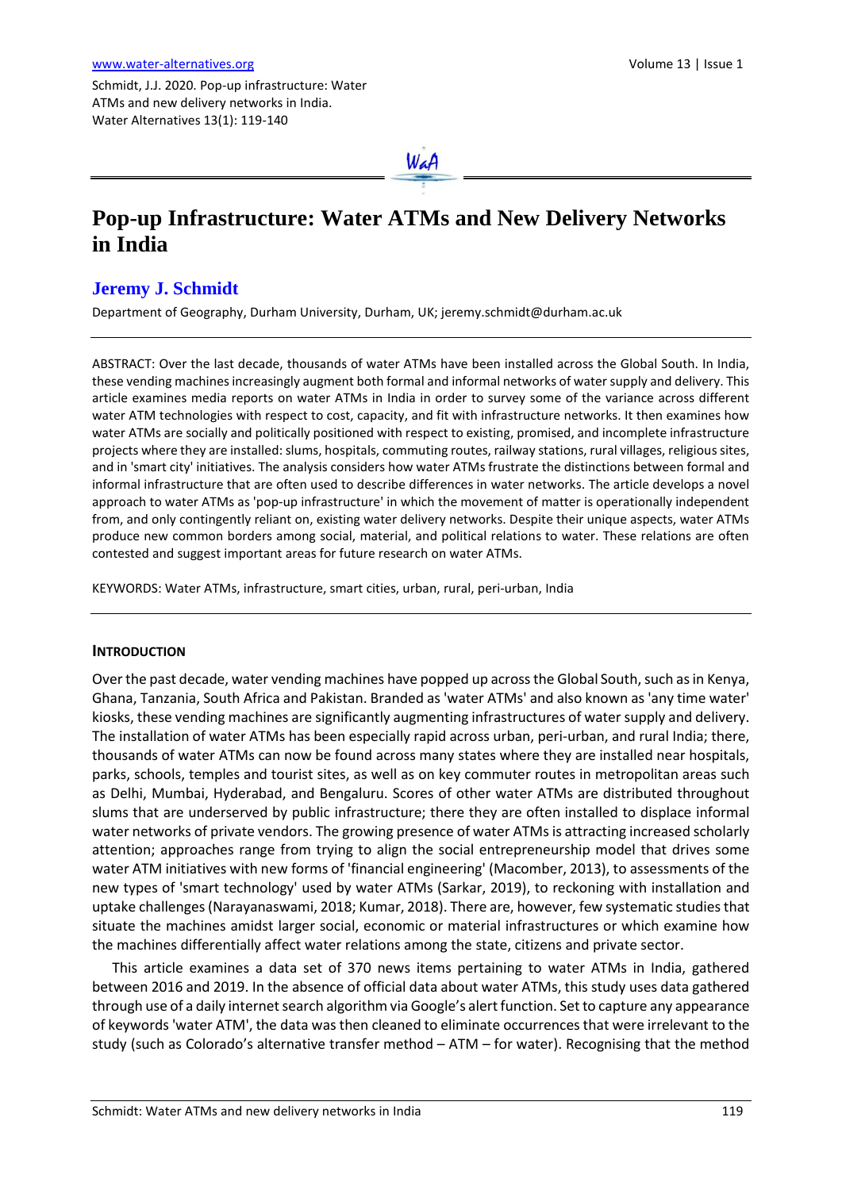Schmidt, J.J. 2020. Pop-up infrastructure: Water ATMs and new delivery networks in India. Water Alternatives 13(1): 119-140



# **Pop-up Infrastructure: Water ATMs and New Delivery Networks in India**

# **Jeremy J. Schmidt**

Department of Geography, Durham University, Durham, UK; jeremy.schmidt@durham.ac.uk

ABSTRACT: Over the last decade, thousands of water ATMs have been installed across the Global South. In India, these vending machines increasingly augment both formal and informal networks of water supply and delivery. This article examines media reports on water ATMs in India in order to survey some of the variance across different water ATM technologies with respect to cost, capacity, and fit with infrastructure networks. It then examines how water ATMs are socially and politically positioned with respect to existing, promised, and incomplete infrastructure projects where they are installed: slums, hospitals, commuting routes, railway stations, rural villages, religious sites, and in 'smart city' initiatives. The analysis considers how water ATMs frustrate the distinctions between formal and informal infrastructure that are often used to describe differences in water networks. The article develops a novel approach to water ATMs as 'pop-up infrastructure' in which the movement of matter is operationally independent from, and only contingently reliant on, existing water delivery networks. Despite their unique aspects, water ATMs produce new common borders among social, material, and political relations to water. These relations are often contested and suggest important areas for future research on water ATMs.

KEYWORDS: Water ATMs, infrastructure, smart cities, urban, rural, peri-urban, India

# **INTRODUCTION**

Over the past decade, water vending machines have popped up across the Global South, such as in Kenya, Ghana, Tanzania, South Africa and Pakistan. Branded as 'water ATMs' and also known as 'any time water' kiosks, these vending machines are significantly augmenting infrastructures of water supply and delivery. The installation of water ATMs has been especially rapid across urban, peri-urban, and rural India; there, thousands of water ATMs can now be found across many states where they are installed near hospitals, parks, schools, temples and tourist sites, as well as on key commuter routes in metropolitan areas such as Delhi, Mumbai, Hyderabad, and Bengaluru. Scores of other water ATMs are distributed throughout slums that are underserved by public infrastructure; there they are often installed to displace informal water networks of private vendors. The growing presence of water ATMs is attracting increased scholarly attention; approaches range from trying to align the social entrepreneurship model that drives some water ATM initiatives with new forms of 'financial engineering' (Macomber, 2013), to assessments of the new types of 'smart technology' used by water ATMs (Sarkar, 2019), to reckoning with installation and uptake challenges (Narayanaswami, 2018; Kumar, 2018). There are, however, few systematic studies that situate the machines amidst larger social, economic or material infrastructures or which examine how the machines differentially affect water relations among the state, citizens and private sector.

This article examines a data set of 370 news items pertaining to water ATMs in India, gathered between 2016 and 2019. In the absence of official data about water ATMs, this study uses data gathered through use of a daily internet search algorithm via Google's alert function. Set to capture any appearance of keywords 'water ATM', the data was then cleaned to eliminate occurrences that were irrelevant to the study (such as Colorado's alternative transfer method – ATM – for water). Recognising that the method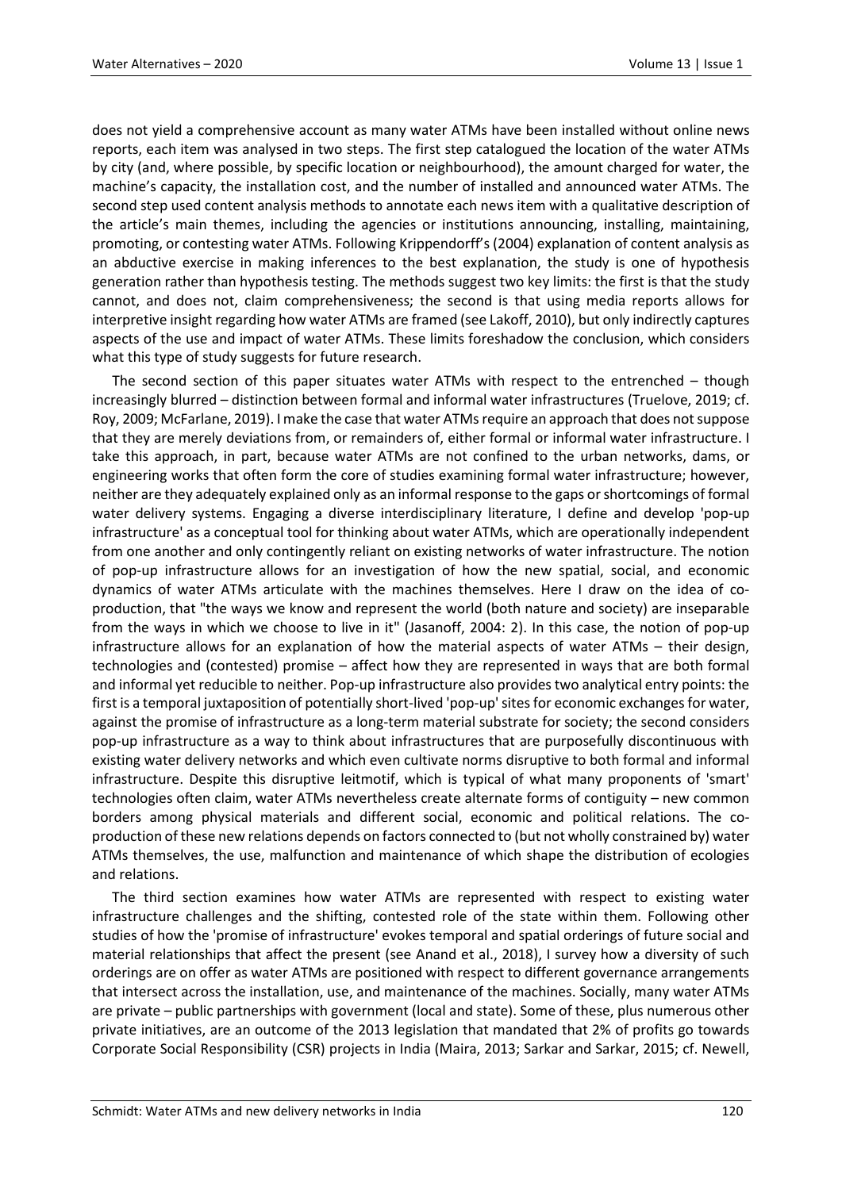does not yield a comprehensive account as many water ATMs have been installed without online news reports, each item was analysed in two steps. The first step catalogued the location of the water ATMs by city (and, where possible, by specific location or neighbourhood), the amount charged for water, the machine's capacity, the installation cost, and the number of installed and announced water ATMs. The second step used content analysis methods to annotate each news item with a qualitative description of the article's main themes, including the agencies or institutions announcing, installing, maintaining, promoting, or contesting water ATMs. Following Krippendorff's (2004) explanation of content analysis as an abductive exercise in making inferences to the best explanation, the study is one of hypothesis generation rather than hypothesis testing. The methods suggest two key limits: the first is that the study cannot, and does not, claim comprehensiveness; the second is that using media reports allows for interpretive insight regarding how water ATMs are framed (see Lakoff, 2010), but only indirectly captures aspects of the use and impact of water ATMs. These limits foreshadow the conclusion, which considers what this type of study suggests for future research.

The second section of this paper situates water ATMs with respect to the entrenched – though increasingly blurred – distinction between formal and informal water infrastructures (Truelove, 2019; cf. Roy, 2009; McFarlane, 2019). I make the case that water ATMs require an approach that does not suppose that they are merely deviations from, or remainders of, either formal or informal water infrastructure. I take this approach, in part, because water ATMs are not confined to the urban networks, dams, or engineering works that often form the core of studies examining formal water infrastructure; however, neither are they adequately explained only as an informal response to the gaps or shortcomings of formal water delivery systems. Engaging a diverse interdisciplinary literature, I define and develop 'pop-up infrastructure' as a conceptual tool for thinking about water ATMs, which are operationally independent from one another and only contingently reliant on existing networks of water infrastructure. The notion of pop-up infrastructure allows for an investigation of how the new spatial, social, and economic dynamics of water ATMs articulate with the machines themselves. Here I draw on the idea of coproduction, that "the ways we know and represent the world (both nature and society) are inseparable from the ways in which we choose to live in it" (Jasanoff, 2004: 2). In this case, the notion of pop-up infrastructure allows for an explanation of how the material aspects of water ATMs – their design, technologies and (contested) promise – affect how they are represented in ways that are both formal and informal yet reducible to neither. Pop-up infrastructure also provides two analytical entry points: the first is a temporal juxtaposition of potentially short-lived 'pop-up' sites for economic exchanges for water, against the promise of infrastructure as a long-term material substrate for society; the second considers pop-up infrastructure as a way to think about infrastructures that are purposefully discontinuous with existing water delivery networks and which even cultivate norms disruptive to both formal and informal infrastructure. Despite this disruptive leitmotif, which is typical of what many proponents of 'smart' technologies often claim, water ATMs nevertheless create alternate forms of contiguity – new common borders among physical materials and different social, economic and political relations. The coproduction of these new relations depends on factors connected to (but not wholly constrained by) water ATMs themselves, the use, malfunction and maintenance of which shape the distribution of ecologies and relations.

The third section examines how water ATMs are represented with respect to existing water infrastructure challenges and the shifting, contested role of the state within them. Following other studies of how the 'promise of infrastructure' evokes temporal and spatial orderings of future social and material relationships that affect the present (see Anand et al., 2018), I survey how a diversity of such orderings are on offer as water ATMs are positioned with respect to different governance arrangements that intersect across the installation, use, and maintenance of the machines. Socially, many water ATMs are private – public partnerships with government (local and state). Some of these, plus numerous other private initiatives, are an outcome of the 2013 legislation that mandated that 2% of profits go towards Corporate Social Responsibility (CSR) projects in India (Maira, 2013; Sarkar and Sarkar, 2015; cf. Newell,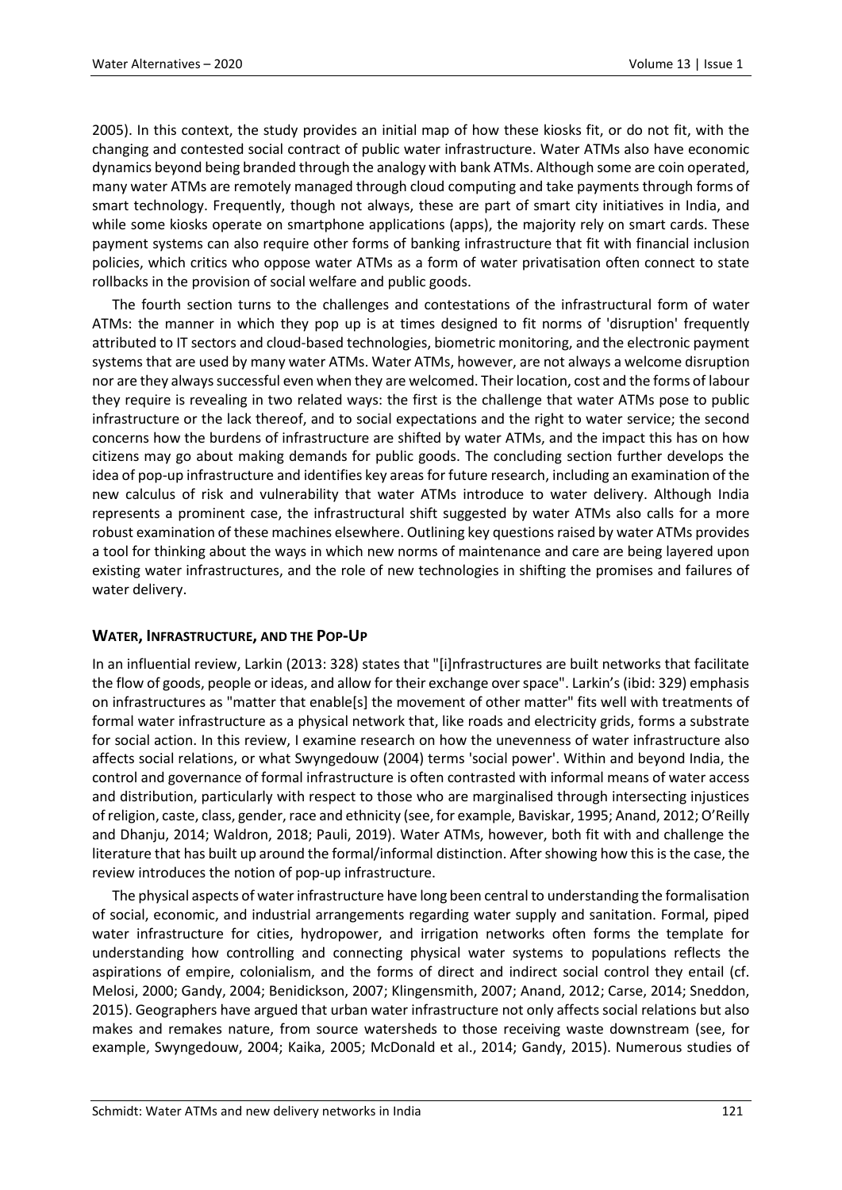2005). In this context, the study provides an initial map of how these kiosks fit, or do not fit, with the changing and contested social contract of public water infrastructure. Water ATMs also have economic dynamics beyond being branded through the analogy with bank ATMs. Although some are coin operated, many water ATMs are remotely managed through cloud computing and take payments through forms of smart technology. Frequently, though not always, these are part of smart city initiatives in India, and while some kiosks operate on smartphone applications (apps), the majority rely on smart cards. These payment systems can also require other forms of banking infrastructure that fit with financial inclusion policies, which critics who oppose water ATMs as a form of water privatisation often connect to state rollbacks in the provision of social welfare and public goods.

The fourth section turns to the challenges and contestations of the infrastructural form of water ATMs: the manner in which they pop up is at times designed to fit norms of 'disruption' frequently attributed to IT sectors and cloud-based technologies, biometric monitoring, and the electronic payment systems that are used by many water ATMs. Water ATMs, however, are not always a welcome disruption nor are they always successful even when they are welcomed. Their location, cost and the forms of labour they require is revealing in two related ways: the first is the challenge that water ATMs pose to public infrastructure or the lack thereof, and to social expectations and the right to water service; the second concerns how the burdens of infrastructure are shifted by water ATMs, and the impact this has on how citizens may go about making demands for public goods. The concluding section further develops the idea of pop-up infrastructure and identifies key areas for future research, including an examination of the new calculus of risk and vulnerability that water ATMs introduce to water delivery. Although India represents a prominent case, the infrastructural shift suggested by water ATMs also calls for a more robust examination of these machines elsewhere. Outlining key questions raised by water ATMs provides a tool for thinking about the ways in which new norms of maintenance and care are being layered upon existing water infrastructures, and the role of new technologies in shifting the promises and failures of water delivery.

# **WATER, INFRASTRUCTURE, AND THE POP-UP**

In an influential review, Larkin (2013: 328) states that "[i]nfrastructures are built networks that facilitate the flow of goods, people or ideas, and allow for their exchange over space". Larkin's (ibid: 329) emphasis on infrastructures as "matter that enable[s] the movement of other matter" fits well with treatments of formal water infrastructure as a physical network that, like roads and electricity grids, forms a substrate for social action. In this review, I examine research on how the unevenness of water infrastructure also affects social relations, or what Swyngedouw (2004) terms 'social power'. Within and beyond India, the control and governance of formal infrastructure is often contrasted with informal means of water access and distribution, particularly with respect to those who are marginalised through intersecting injustices of religion, caste, class, gender, race and ethnicity (see, for example, Baviskar, 1995; Anand, 2012; O'Reilly and Dhanju, 2014; Waldron, 2018; Pauli, 2019). Water ATMs, however, both fit with and challenge the literature that has built up around the formal/informal distinction. After showing how this is the case, the review introduces the notion of pop-up infrastructure.

The physical aspects of water infrastructure have long been central to understanding the formalisation of social, economic, and industrial arrangements regarding water supply and sanitation. Formal, piped water infrastructure for cities, hydropower, and irrigation networks often forms the template for understanding how controlling and connecting physical water systems to populations reflects the aspirations of empire, colonialism, and the forms of direct and indirect social control they entail (cf. Melosi, 2000; Gandy, 2004; Benidickson, 2007; Klingensmith, 2007; Anand, 2012; Carse, 2014; Sneddon, 2015). Geographers have argued that urban water infrastructure not only affects social relations but also makes and remakes nature, from source watersheds to those receiving waste downstream (see, for example, Swyngedouw, 2004; Kaika, 2005; McDonald et al., 2014; Gandy, 2015). Numerous studies of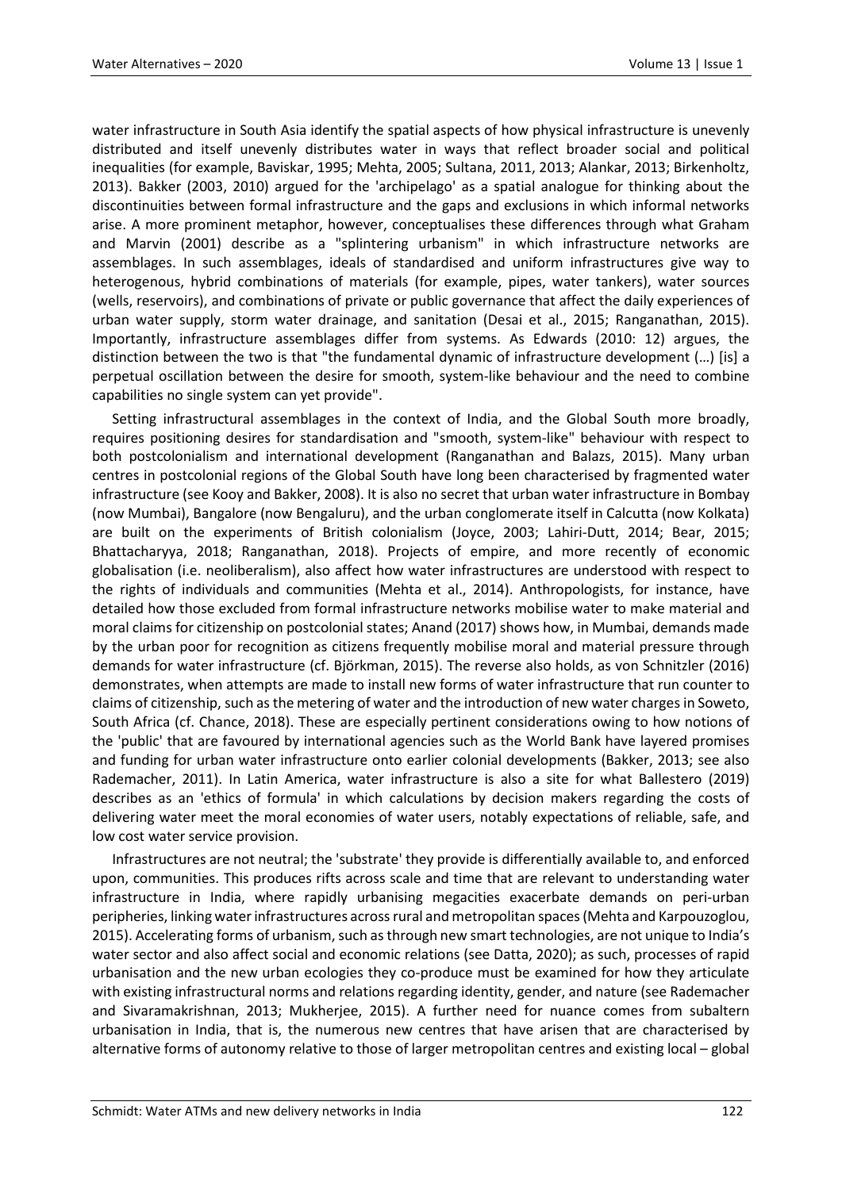water infrastructure in South Asia identify the spatial aspects of how physical infrastructure is unevenly distributed and itself unevenly distributes water in ways that reflect broader social and political inequalities (for example, Baviskar, 1995; Mehta, 2005; Sultana, 2011, 2013; Alankar, 2013; Birkenholtz, 2013). Bakker (2003, 2010) argued for the 'archipelago' as a spatial analogue for thinking about the discontinuities between formal infrastructure and the gaps and exclusions in which informal networks arise. A more prominent metaphor, however, conceptualises these differences through what Graham and Marvin (2001) describe as a "splintering urbanism" in which infrastructure networks are assemblages. In such assemblages, ideals of standardised and uniform infrastructures give way to heterogenous, hybrid combinations of materials (for example, pipes, water tankers), water sources (wells, reservoirs), and combinations of private or public governance that affect the daily experiences of urban water supply, storm water drainage, and sanitation (Desai et al., 2015; Ranganathan, 2015). Importantly, infrastructure assemblages differ from systems. As Edwards (2010: 12) argues, the distinction between the two is that "the fundamental dynamic of infrastructure development (…) [is] a perpetual oscillation between the desire for smooth, system-like behaviour and the need to combine capabilities no single system can yet provide".

Setting infrastructural assemblages in the context of India, and the Global South more broadly, requires positioning desires for standardisation and "smooth, system-like" behaviour with respect to both postcolonialism and international development (Ranganathan and Balazs, 2015). Many urban centres in postcolonial regions of the Global South have long been characterised by fragmented water infrastructure (see Kooy and Bakker, 2008). It is also no secret that urban water infrastructure in Bombay (now Mumbai), Bangalore (now Bengaluru), and the urban conglomerate itself in Calcutta (now Kolkata) are built on the experiments of British colonialism (Joyce, 2003; Lahiri-Dutt, 2014; Bear, 2015; Bhattacharyya, 2018; Ranganathan, 2018). Projects of empire, and more recently of economic globalisation (i.e. neoliberalism), also affect how water infrastructures are understood with respect to the rights of individuals and communities (Mehta et al., 2014). Anthropologists, for instance, have detailed how those excluded from formal infrastructure networks mobilise water to make material and moral claims for citizenship on postcolonial states; Anand (2017) shows how, in Mumbai, demands made by the urban poor for recognition as citizens frequently mobilise moral and material pressure through demands for water infrastructure (cf. Björkman, 2015). The reverse also holds, as von Schnitzler (2016) demonstrates, when attempts are made to install new forms of water infrastructure that run counter to claims of citizenship, such as the metering of water and the introduction of new water charges in Soweto, South Africa (cf. Chance, 2018). These are especially pertinent considerations owing to how notions of the 'public' that are favoured by international agencies such as the World Bank have layered promises and funding for urban water infrastructure onto earlier colonial developments (Bakker, 2013; see also Rademacher, 2011). In Latin America, water infrastructure is also a site for what Ballestero (2019) describes as an 'ethics of formula' in which calculations by decision makers regarding the costs of delivering water meet the moral economies of water users, notably expectations of reliable, safe, and low cost water service provision.

Infrastructures are not neutral; the 'substrate' they provide is differentially available to, and enforced upon, communities. This produces rifts across scale and time that are relevant to understanding water infrastructure in India, where rapidly urbanising megacities exacerbate demands on peri-urban peripheries, linking water infrastructures across rural and metropolitan spaces (Mehta and Karpouzoglou, 2015). Accelerating forms of urbanism, such as through new smart technologies, are not unique to India's water sector and also affect social and economic relations (see Datta, 2020); as such, processes of rapid urbanisation and the new urban ecologies they co-produce must be examined for how they articulate with existing infrastructural norms and relations regarding identity, gender, and nature (see Rademacher and Sivaramakrishnan, 2013; Mukherjee, 2015). A further need for nuance comes from subaltern urbanisation in India, that is, the numerous new centres that have arisen that are characterised by alternative forms of autonomy relative to those of larger metropolitan centres and existing local – global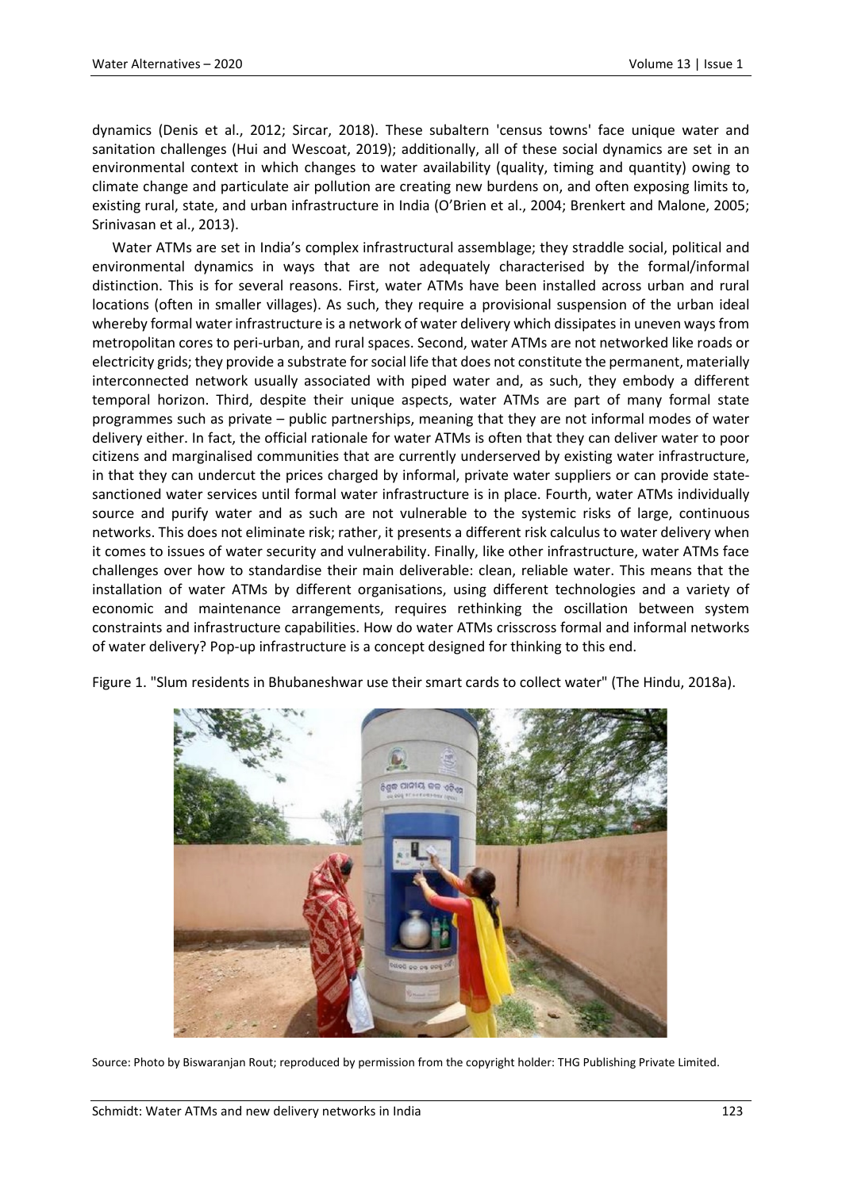dynamics (Denis et al., 2012; Sircar, 2018). These subaltern 'census towns' face unique water and sanitation challenges (Hui and Wescoat, 2019); additionally, all of these social dynamics are set in an environmental context in which changes to water availability (quality, timing and quantity) owing to climate change and particulate air pollution are creating new burdens on, and often exposing limits to, existing rural, state, and urban infrastructure in India (O'Brien et al., 2004; Brenkert and Malone, 2005; Srinivasan et al., 2013).

Water ATMs are set in India's complex infrastructural assemblage; they straddle social, political and environmental dynamics in ways that are not adequately characterised by the formal/informal distinction. This is for several reasons. First, water ATMs have been installed across urban and rural locations (often in smaller villages). As such, they require a provisional suspension of the urban ideal whereby formal water infrastructure is a network of water delivery which dissipates in uneven ways from metropolitan cores to peri-urban, and rural spaces. Second, water ATMs are not networked like roads or electricity grids; they provide a substrate for social life that does not constitute the permanent, materially interconnected network usually associated with piped water and, as such, they embody a different temporal horizon. Third, despite their unique aspects, water ATMs are part of many formal state programmes such as private – public partnerships, meaning that they are not informal modes of water delivery either. In fact, the official rationale for water ATMs is often that they can deliver water to poor citizens and marginalised communities that are currently underserved by existing water infrastructure, in that they can undercut the prices charged by informal, private water suppliers or can provide statesanctioned water services until formal water infrastructure is in place. Fourth, water ATMs individually source and purify water and as such are not vulnerable to the systemic risks of large, continuous networks. This does not eliminate risk; rather, it presents a different risk calculus to water delivery when it comes to issues of water security and vulnerability. Finally, like other infrastructure, water ATMs face challenges over how to standardise their main deliverable: clean, reliable water. This means that the installation of water ATMs by different organisations, using different technologies and a variety of economic and maintenance arrangements, requires rethinking the oscillation between system constraints and infrastructure capabilities. How do water ATMs crisscross formal and informal networks of water delivery? Pop-up infrastructure is a concept designed for thinking to this end.



Figure 1. "Slum residents in Bhubaneshwar use their smart cards to collect water" (The Hindu, 2018a).

Source: Photo by Biswaranjan Rout; reproduced by permission from the copyright holder: THG Publishing Private Limited.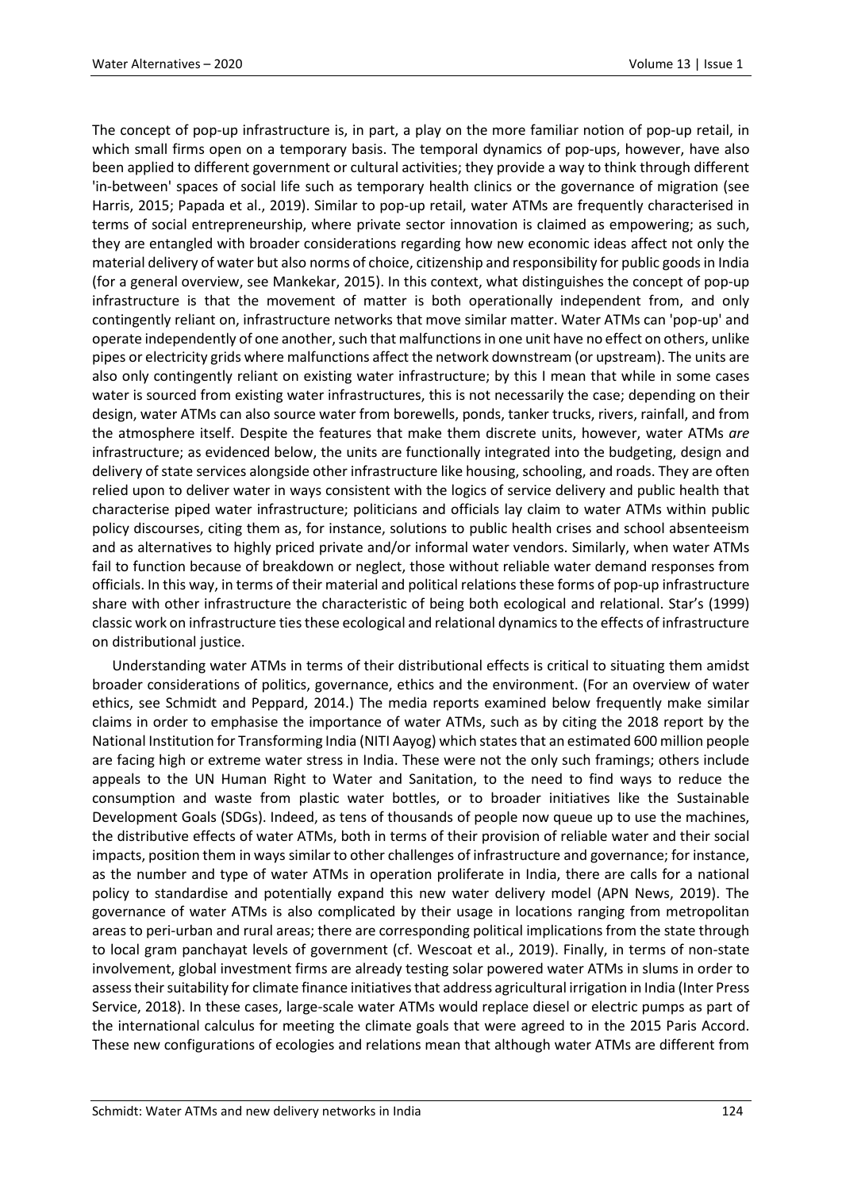The concept of pop-up infrastructure is, in part, a play on the more familiar notion of pop-up retail, in which small firms open on a temporary basis. The temporal dynamics of pop-ups, however, have also been applied to different government or cultural activities; they provide a way to think through different 'in-between' spaces of social life such as temporary health clinics or the governance of migration (see Harris, 2015; Papada et al., 2019). Similar to pop-up retail, water ATMs are frequently characterised in terms of social entrepreneurship, where private sector innovation is claimed as empowering; as such, they are entangled with broader considerations regarding how new economic ideas affect not only the material delivery of water but also norms of choice, citizenship and responsibility for public goods in India (for a general overview, see Mankekar, 2015). In this context, what distinguishes the concept of pop-up infrastructure is that the movement of matter is both operationally independent from, and only contingently reliant on, infrastructure networks that move similar matter. Water ATMs can 'pop-up' and operate independently of one another, such that malfunctions in one unit have no effect on others, unlike pipes or electricity grids where malfunctions affect the network downstream (or upstream). The units are also only contingently reliant on existing water infrastructure; by this I mean that while in some cases water is sourced from existing water infrastructures, this is not necessarily the case; depending on their design, water ATMs can also source water from borewells, ponds, tanker trucks, rivers, rainfall, and from the atmosphere itself. Despite the features that make them discrete units, however, water ATMs *are* infrastructure; as evidenced below, the units are functionally integrated into the budgeting, design and delivery of state services alongside other infrastructure like housing, schooling, and roads. They are often relied upon to deliver water in ways consistent with the logics of service delivery and public health that characterise piped water infrastructure; politicians and officials lay claim to water ATMs within public policy discourses, citing them as, for instance, solutions to public health crises and school absenteeism and as alternatives to highly priced private and/or informal water vendors. Similarly, when water ATMs fail to function because of breakdown or neglect, those without reliable water demand responses from officials. In this way, in terms of their material and political relations these forms of pop-up infrastructure share with other infrastructure the characteristic of being both ecological and relational. Star's (1999) classic work on infrastructure ties these ecological and relational dynamics to the effects of infrastructure on distributional justice.

Understanding water ATMs in terms of their distributional effects is critical to situating them amidst broader considerations of politics, governance, ethics and the environment. (For an overview of water ethics, see Schmidt and Peppard, 2014.) The media reports examined below frequently make similar claims in order to emphasise the importance of water ATMs, such as by citing the 2018 report by the National Institution for Transforming India (NITI Aayog) which states that an estimated 600 million people are facing high or extreme water stress in India. These were not the only such framings; others include appeals to the UN Human Right to Water and Sanitation, to the need to find ways to reduce the consumption and waste from plastic water bottles, or to broader initiatives like the Sustainable Development Goals (SDGs). Indeed, as tens of thousands of people now queue up to use the machines, the distributive effects of water ATMs, both in terms of their provision of reliable water and their social impacts, position them in ways similar to other challenges of infrastructure and governance; for instance, as the number and type of water ATMs in operation proliferate in India, there are calls for a national policy to standardise and potentially expand this new water delivery model (APN News, 2019). The governance of water ATMs is also complicated by their usage in locations ranging from metropolitan areas to peri-urban and rural areas; there are corresponding political implications from the state through to local gram panchayat levels of government (cf. Wescoat et al., 2019). Finally, in terms of non-state involvement, global investment firms are already testing solar powered water ATMs in slums in order to assess their suitability for climate finance initiatives that address agricultural irrigation in India (Inter Press Service, 2018). In these cases, large-scale water ATMs would replace diesel or electric pumps as part of the international calculus for meeting the climate goals that were agreed to in the 2015 Paris Accord. These new configurations of ecologies and relations mean that although water ATMs are different from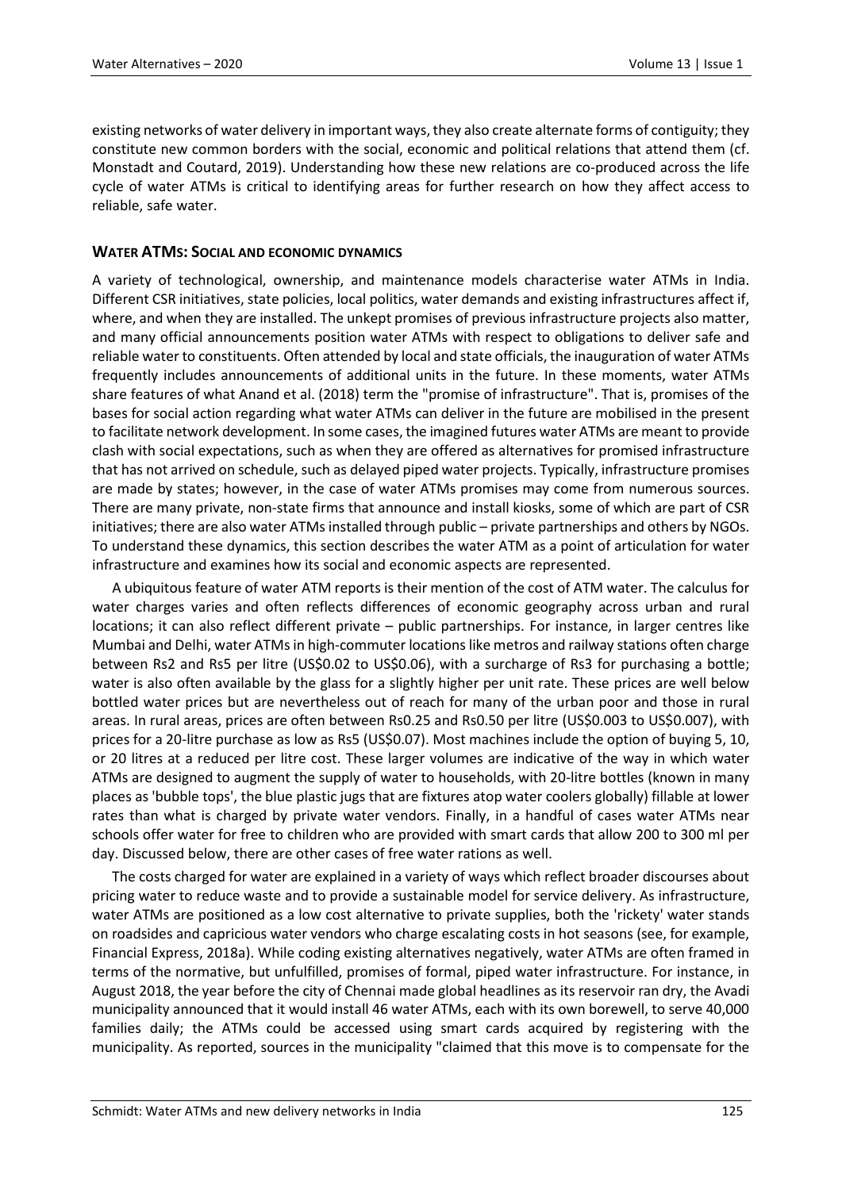existing networks of water delivery in important ways, they also create alternate forms of contiguity; they constitute new common borders with the social, economic and political relations that attend them (cf. Monstadt and Coutard, 2019). Understanding how these new relations are co-produced across the life cycle of water ATMs is critical to identifying areas for further research on how they affect access to reliable, safe water.

# **WATER ATMS: SOCIAL AND ECONOMIC DYNAMICS**

A variety of technological, ownership, and maintenance models characterise water ATMs in India. Different CSR initiatives, state policies, local politics, water demands and existing infrastructures affect if, where, and when they are installed. The unkept promises of previous infrastructure projects also matter, and many official announcements position water ATMs with respect to obligations to deliver safe and reliable water to constituents. Often attended by local and state officials, the inauguration of water ATMs frequently includes announcements of additional units in the future. In these moments, water ATMs share features of what Anand et al. (2018) term the "promise of infrastructure". That is, promises of the bases for social action regarding what water ATMs can deliver in the future are mobilised in the present to facilitate network development. In some cases, the imagined futures water ATMs are meant to provide clash with social expectations, such as when they are offered as alternatives for promised infrastructure that has not arrived on schedule, such as delayed piped water projects. Typically, infrastructure promises are made by states; however, in the case of water ATMs promises may come from numerous sources. There are many private, non-state firms that announce and install kiosks, some of which are part of CSR initiatives; there are also water ATMs installed through public – private partnerships and others by NGOs. To understand these dynamics, this section describes the water ATM as a point of articulation for water infrastructure and examines how its social and economic aspects are represented.

A ubiquitous feature of water ATM reports is their mention of the cost of ATM water. The calculus for water charges varies and often reflects differences of economic geography across urban and rural locations; it can also reflect different private – public partnerships. For instance, in larger centres like Mumbai and Delhi, water ATMs in high-commuter locations like metros and railway stations often charge between Rs2 and Rs5 per litre (US\$0.02 to US\$0.06), with a surcharge of Rs3 for purchasing a bottle; water is also often available by the glass for a slightly higher per unit rate. These prices are well below bottled water prices but are nevertheless out of reach for many of the urban poor and those in rural areas. In rural areas, prices are often between Rs0.25 and Rs0.50 per litre (US\$0.003 to US\$0.007), with prices for a 20-litre purchase as low as Rs5 (US\$0.07). Most machines include the option of buying 5, 10, or 20 litres at a reduced per litre cost. These larger volumes are indicative of the way in which water ATMs are designed to augment the supply of water to households, with 20-litre bottles (known in many places as 'bubble tops', the blue plastic jugs that are fixtures atop water coolers globally) fillable at lower rates than what is charged by private water vendors. Finally, in a handful of cases water ATMs near schools offer water for free to children who are provided with smart cards that allow 200 to 300 ml per day. Discussed below, there are other cases of free water rations as well.

The costs charged for water are explained in a variety of ways which reflect broader discourses about pricing water to reduce waste and to provide a sustainable model for service delivery. As infrastructure, water ATMs are positioned as a low cost alternative to private supplies, both the 'rickety' water stands on roadsides and capricious water vendors who charge escalating costs in hot seasons (see, for example, Financial Express, 2018a). While coding existing alternatives negatively, water ATMs are often framed in terms of the normative, but unfulfilled, promises of formal, piped water infrastructure. For instance, in August 2018, the year before the city of Chennai made global headlines as its reservoir ran dry, the Avadi municipality announced that it would install 46 water ATMs, each with its own borewell, to serve 40,000 families daily; the ATMs could be accessed using smart cards acquired by registering with the municipality. As reported, sources in the municipality "claimed that this move is to compensate for the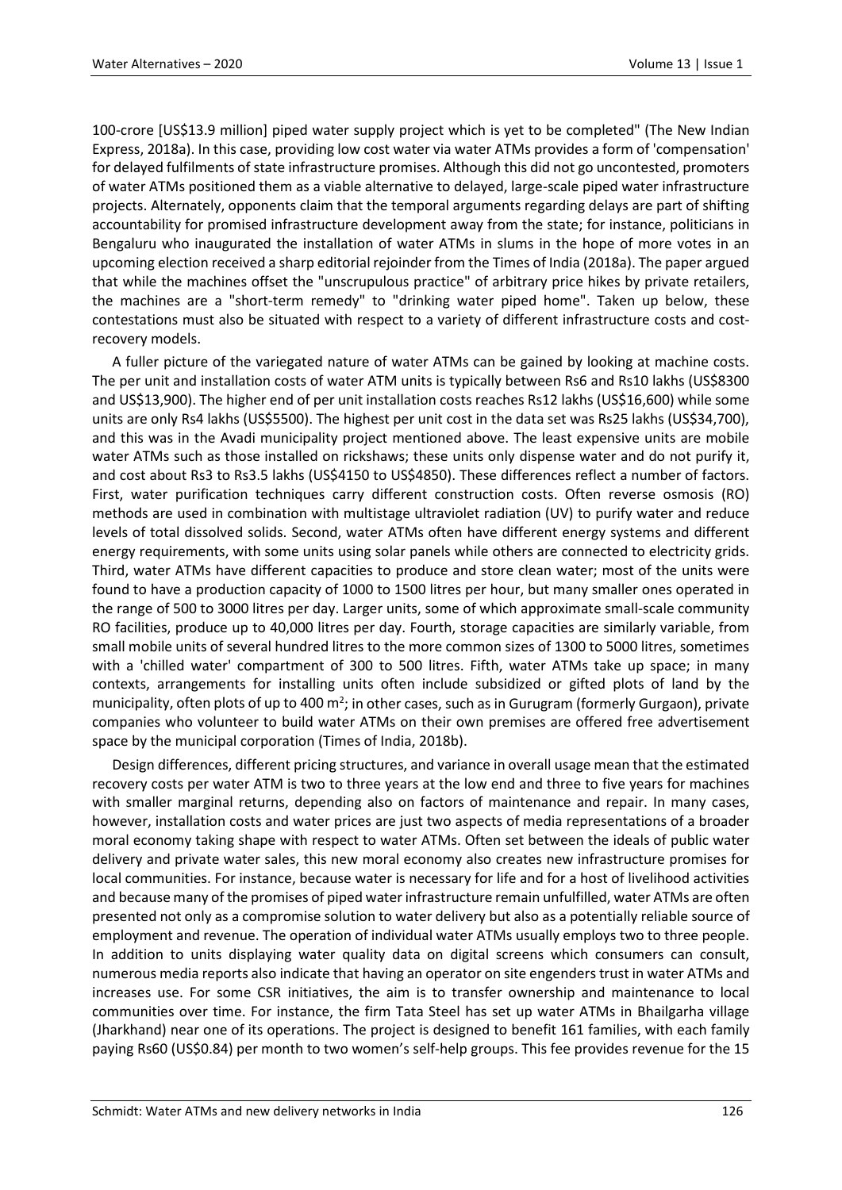100-crore [US\$13.9 million] piped water supply project which is yet to be completed" (The New Indian Express, 2018a). In this case, providing low cost water via water ATMs provides a form of 'compensation' for delayed fulfilments of state infrastructure promises. Although this did not go uncontested, promoters of water ATMs positioned them as a viable alternative to delayed, large-scale piped water infrastructure projects. Alternately, opponents claim that the temporal arguments regarding delays are part of shifting accountability for promised infrastructure development away from the state; for instance, politicians in Bengaluru who inaugurated the installation of water ATMs in slums in the hope of more votes in an upcoming election received a sharp editorial rejoinder from the Times of India (2018a). The paper argued that while the machines offset the "unscrupulous practice" of arbitrary price hikes by private retailers, the machines are a "short-term remedy" to "drinking water piped home". Taken up below, these contestations must also be situated with respect to a variety of different infrastructure costs and costrecovery models.

A fuller picture of the variegated nature of water ATMs can be gained by looking at machine costs. The per unit and installation costs of water ATM units is typically between Rs6 and Rs10 lakhs (US\$8300 and US\$13,900). The higher end of per unit installation costs reaches Rs12 lakhs (US\$16,600) while some units are only Rs4 lakhs (US\$5500). The highest per unit cost in the data set was Rs25 lakhs (US\$34,700), and this was in the Avadi municipality project mentioned above. The least expensive units are mobile water ATMs such as those installed on rickshaws; these units only dispense water and do not purify it, and cost about Rs3 to Rs3.5 lakhs (US\$4150 to US\$4850). These differences reflect a number of factors. First, water purification techniques carry different construction costs. Often reverse osmosis (RO) methods are used in combination with multistage ultraviolet radiation (UV) to purify water and reduce levels of total dissolved solids. Second, water ATMs often have different energy systems and different energy requirements, with some units using solar panels while others are connected to electricity grids. Third, water ATMs have different capacities to produce and store clean water; most of the units were found to have a production capacity of 1000 to 1500 litres per hour, but many smaller ones operated in the range of 500 to 3000 litres per day. Larger units, some of which approximate small-scale community RO facilities, produce up to 40,000 litres per day. Fourth, storage capacities are similarly variable, from small mobile units of several hundred litres to the more common sizes of 1300 to 5000 litres, sometimes with a 'chilled water' compartment of 300 to 500 litres. Fifth, water ATMs take up space; in many contexts, arrangements for installing units often include subsidized or gifted plots of land by the municipality, often plots of up to 400 m<sup>2</sup>; in other cases, such as in Gurugram (formerly Gurgaon), private companies who volunteer to build water ATMs on their own premises are offered free advertisement space by the municipal corporation (Times of India, 2018b).

Design differences, different pricing structures, and variance in overall usage mean that the estimated recovery costs per water ATM is two to three years at the low end and three to five years for machines with smaller marginal returns, depending also on factors of maintenance and repair. In many cases, however, installation costs and water prices are just two aspects of media representations of a broader moral economy taking shape with respect to water ATMs. Often set between the ideals of public water delivery and private water sales, this new moral economy also creates new infrastructure promises for local communities. For instance, because water is necessary for life and for a host of livelihood activities and because many of the promises of piped water infrastructure remain unfulfilled, water ATMs are often presented not only as a compromise solution to water delivery but also as a potentially reliable source of employment and revenue. The operation of individual water ATMs usually employs two to three people. In addition to units displaying water quality data on digital screens which consumers can consult, numerous media reports also indicate that having an operator on site engenders trust in water ATMs and increases use. For some CSR initiatives, the aim is to transfer ownership and maintenance to local communities over time. For instance, the firm Tata Steel has set up water ATMs in Bhailgarha village (Jharkhand) near one of its operations. The project is designed to benefit 161 families, with each family paying Rs60 (US\$0.84) per month to two women's self-help groups. This fee provides revenue for the 15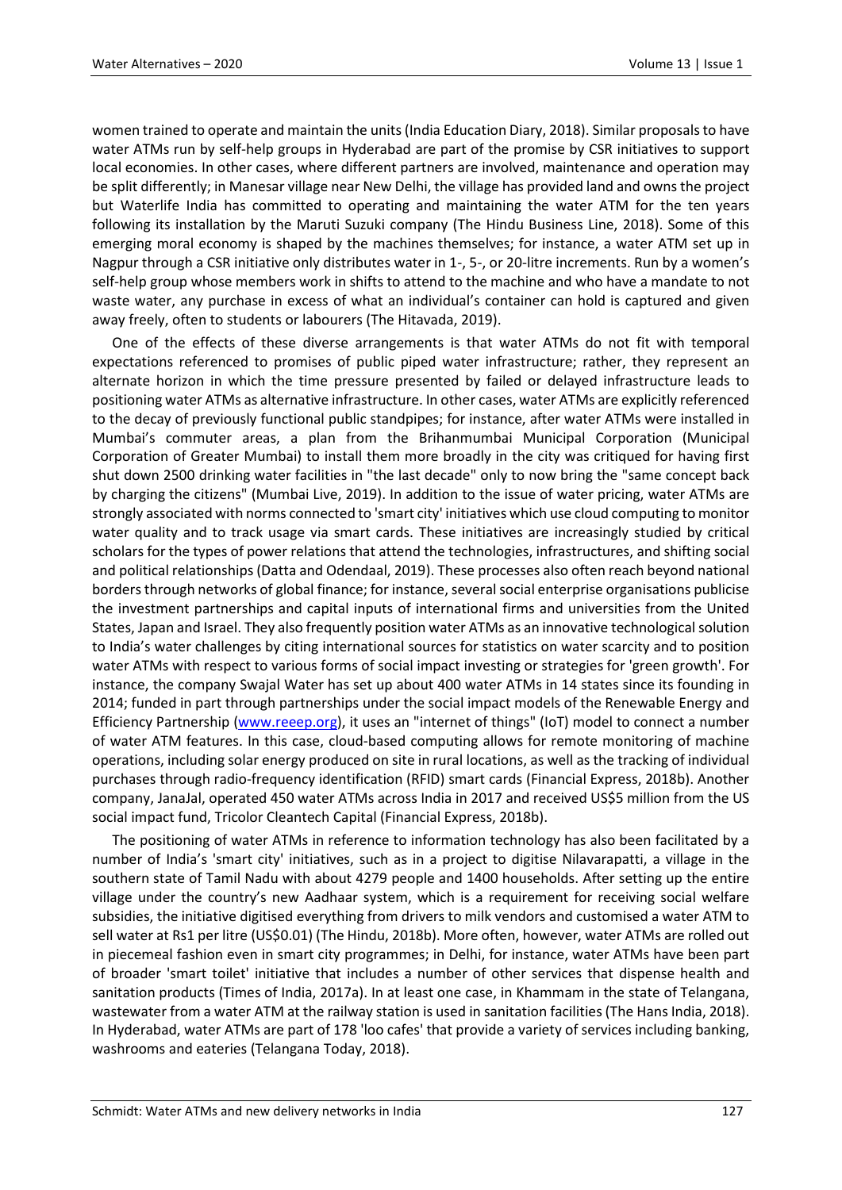women trained to operate and maintain the units (India Education Diary, 2018). Similar proposals to have water ATMs run by self-help groups in Hyderabad are part of the promise by CSR initiatives to support local economies. In other cases, where different partners are involved, maintenance and operation may be split differently; in Manesar village near New Delhi, the village has provided land and owns the project but Waterlife India has committed to operating and maintaining the water ATM for the ten years following its installation by the Maruti Suzuki company (The Hindu Business Line, 2018). Some of this emerging moral economy is shaped by the machines themselves; for instance, a water ATM set up in Nagpur through a CSR initiative only distributes water in 1-, 5-, or 20-litre increments. Run by a women's self-help group whose members work in shifts to attend to the machine and who have a mandate to not waste water, any purchase in excess of what an individual's container can hold is captured and given away freely, often to students or labourers (The Hitavada, 2019).

One of the effects of these diverse arrangements is that water ATMs do not fit with temporal expectations referenced to promises of public piped water infrastructure; rather, they represent an alternate horizon in which the time pressure presented by failed or delayed infrastructure leads to positioning water ATMs as alternative infrastructure. In other cases, water ATMs are explicitly referenced to the decay of previously functional public standpipes; for instance, after water ATMs were installed in Mumbai's commuter areas, a plan from the Brihanmumbai Municipal Corporation (Municipal Corporation of Greater Mumbai) to install them more broadly in the city was critiqued for having first shut down 2500 drinking water facilities in "the last decade" only to now bring the "same concept back by charging the citizens" (Mumbai Live, 2019). In addition to the issue of water pricing, water ATMs are strongly associated with norms connected to 'smart city' initiatives which use cloud computing to monitor water quality and to track usage via smart cards. These initiatives are increasingly studied by critical scholars for the types of power relations that attend the technologies, infrastructures, and shifting social and political relationships (Datta and Odendaal, 2019). These processes also often reach beyond national borders through networks of global finance; for instance, several social enterprise organisations publicise the investment partnerships and capital inputs of international firms and universities from the United States, Japan and Israel. They also frequently position water ATMs as an innovative technological solution to India's water challenges by citing international sources for statistics on water scarcity and to position water ATMs with respect to various forms of social impact investing or strategies for 'green growth'. For instance, the company Swajal Water has set up about 400 water ATMs in 14 states since its founding in 2014; funded in part through partnerships under the social impact models of the Renewable Energy and Efficiency Partnership [\(www.reeep.org\)](http://www.reeep.org/), it uses an "internet of things" (IoT) model to connect a number of water ATM features. In this case, cloud-based computing allows for remote monitoring of machine operations, including solar energy produced on site in rural locations, as well as the tracking of individual purchases through radio-frequency identification (RFID) smart cards (Financial Express, 2018b). Another company, JanaJal, operated 450 water ATMs across India in 2017 and received US\$5 million from the US social impact fund, Tricolor Cleantech Capital (Financial Express, 2018b).

The positioning of water ATMs in reference to information technology has also been facilitated by a number of India's 'smart city' initiatives, such as in a project to digitise Nilavarapatti, a village in the southern state of Tamil Nadu with about 4279 people and 1400 households. After setting up the entire village under the country's new Aadhaar system, which is a requirement for receiving social welfare subsidies, the initiative digitised everything from drivers to milk vendors and customised a water ATM to sell water at Rs1 per litre (US\$0.01) (The Hindu, 2018b). More often, however, water ATMs are rolled out in piecemeal fashion even in smart city programmes; in Delhi, for instance, water ATMs have been part of broader 'smart toilet' initiative that includes a number of other services that dispense health and sanitation products (Times of India, 2017a). In at least one case, in Khammam in the state of Telangana, wastewater from a water ATM at the railway station is used in sanitation facilities (The Hans India, 2018). In Hyderabad, water ATMs are part of 178 'loo cafes' that provide a variety of services including banking, washrooms and eateries (Telangana Today, 2018).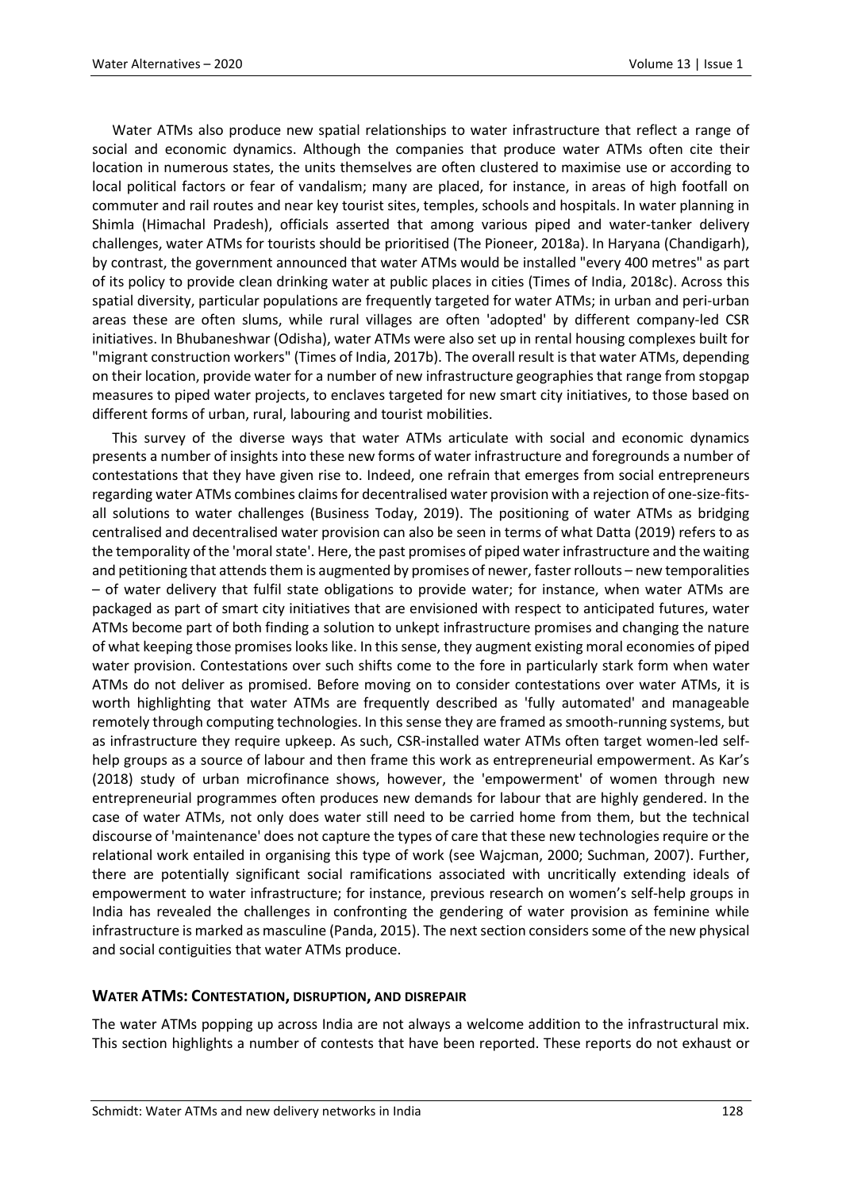Water ATMs also produce new spatial relationships to water infrastructure that reflect a range of social and economic dynamics. Although the companies that produce water ATMs often cite their location in numerous states, the units themselves are often clustered to maximise use or according to local political factors or fear of vandalism; many are placed, for instance, in areas of high footfall on commuter and rail routes and near key tourist sites, temples, schools and hospitals. In water planning in Shimla (Himachal Pradesh), officials asserted that among various piped and water-tanker delivery challenges, water ATMs for tourists should be prioritised (The Pioneer, 2018a). In Haryana (Chandigarh), by contrast, the government announced that water ATMs would be installed "every 400 metres" as part of its policy to provide clean drinking water at public places in cities (Times of India, 2018c). Across this spatial diversity, particular populations are frequently targeted for water ATMs; in urban and peri-urban areas these are often slums, while rural villages are often 'adopted' by different company-led CSR initiatives. In Bhubaneshwar (Odisha), water ATMs were also set up in rental housing complexes built for "migrant construction workers" (Times of India, 2017b). The overall result is that water ATMs, depending on their location, provide water for a number of new infrastructure geographies that range from stopgap measures to piped water projects, to enclaves targeted for new smart city initiatives, to those based on different forms of urban, rural, labouring and tourist mobilities.

This survey of the diverse ways that water ATMs articulate with social and economic dynamics presents a number of insights into these new forms of water infrastructure and foregrounds a number of contestations that they have given rise to. Indeed, one refrain that emerges from social entrepreneurs regarding water ATMs combines claims for decentralised water provision with a rejection of one-size-fitsall solutions to water challenges (Business Today, 2019). The positioning of water ATMs as bridging centralised and decentralised water provision can also be seen in terms of what Datta (2019) refers to as the temporality of the 'moral state'. Here, the past promises of piped water infrastructure and the waiting and petitioning that attends them is augmented by promises of newer, faster rollouts – new temporalities – of water delivery that fulfil state obligations to provide water; for instance, when water ATMs are packaged as part of smart city initiatives that are envisioned with respect to anticipated futures, water ATMs become part of both finding a solution to unkept infrastructure promises and changing the nature of what keeping those promises looks like. In this sense, they augment existing moral economies of piped water provision. Contestations over such shifts come to the fore in particularly stark form when water ATMs do not deliver as promised. Before moving on to consider contestations over water ATMs, it is worth highlighting that water ATMs are frequently described as 'fully automated' and manageable remotely through computing technologies. In this sense they are framed as smooth-running systems, but as infrastructure they require upkeep. As such, CSR-installed water ATMs often target women-led selfhelp groups as a source of labour and then frame this work as entrepreneurial empowerment. As Kar's (2018) study of urban microfinance shows, however, the 'empowerment' of women through new entrepreneurial programmes often produces new demands for labour that are highly gendered. In the case of water ATMs, not only does water still need to be carried home from them, but the technical discourse of 'maintenance' does not capture the types of care that these new technologies require or the relational work entailed in organising this type of work (see Wajcman, 2000; Suchman, 2007). Further, there are potentially significant social ramifications associated with uncritically extending ideals of empowerment to water infrastructure; for instance, previous research on women's self-help groups in India has revealed the challenges in confronting the gendering of water provision as feminine while infrastructure is marked as masculine (Panda, 2015). The next section considers some of the new physical and social contiguities that water ATMs produce.

# **WATER ATMS: CONTESTATION, DISRUPTION, AND DISREPAIR**

The water ATMs popping up across India are not always a welcome addition to the infrastructural mix. This section highlights a number of contests that have been reported. These reports do not exhaust or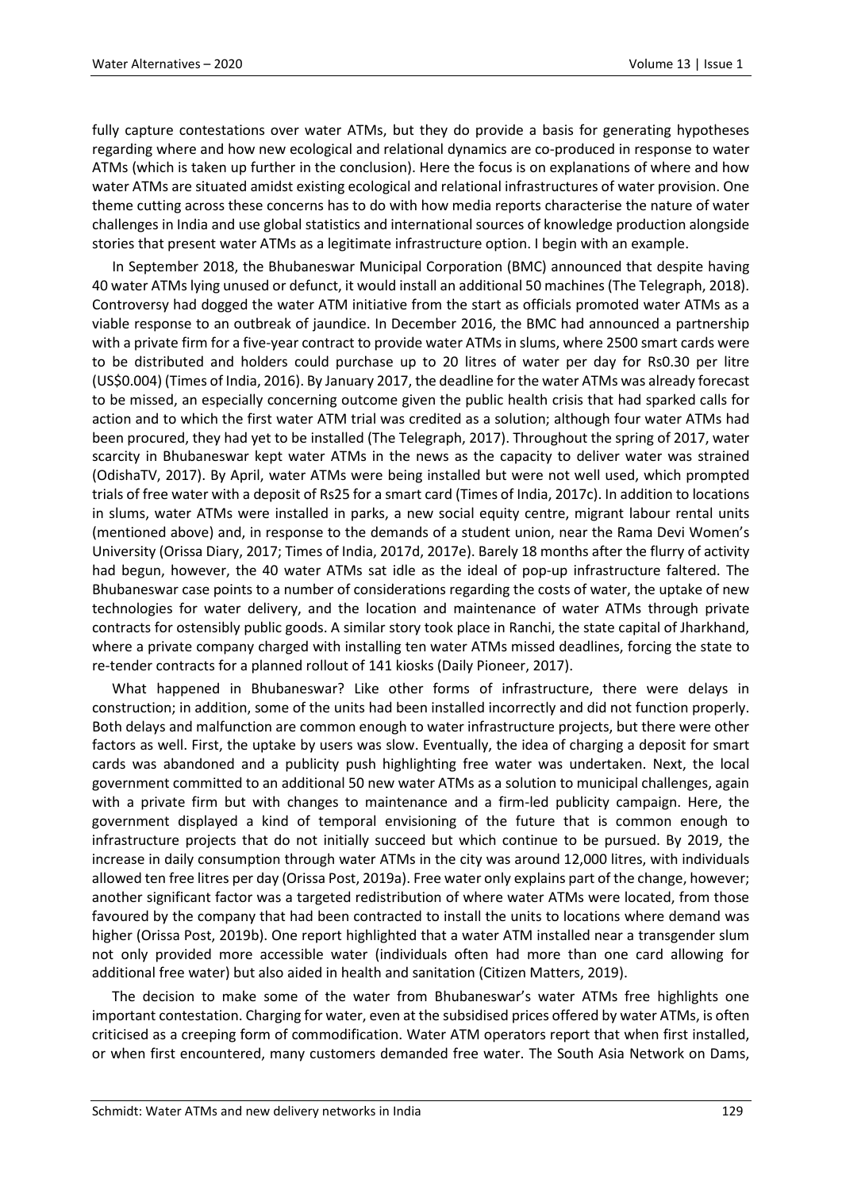fully capture contestations over water ATMs, but they do provide a basis for generating hypotheses regarding where and how new ecological and relational dynamics are co-produced in response to water ATMs (which is taken up further in the conclusion). Here the focus is on explanations of where and how water ATMs are situated amidst existing ecological and relational infrastructures of water provision. One theme cutting across these concerns has to do with how media reports characterise the nature of water challenges in India and use global statistics and international sources of knowledge production alongside stories that present water ATMs as a legitimate infrastructure option. I begin with an example.

In September 2018, the Bhubaneswar Municipal Corporation (BMC) announced that despite having 40 water ATMs lying unused or defunct, it would install an additional 50 machines (The Telegraph, 2018). Controversy had dogged the water ATM initiative from the start as officials promoted water ATMs as a viable response to an outbreak of jaundice. In December 2016, the BMC had announced a partnership with a private firm for a five-year contract to provide water ATMs in slums, where 2500 smart cards were to be distributed and holders could purchase up to 20 litres of water per day for Rs0.30 per litre (US\$0.004) (Times of India, 2016). By January 2017, the deadline for the water ATMs was already forecast to be missed, an especially concerning outcome given the public health crisis that had sparked calls for action and to which the first water ATM trial was credited as a solution; although four water ATMs had been procured, they had yet to be installed (The Telegraph, 2017). Throughout the spring of 2017, water scarcity in Bhubaneswar kept water ATMs in the news as the capacity to deliver water was strained (OdishaTV, 2017). By April, water ATMs were being installed but were not well used, which prompted trials of free water with a deposit of Rs25 for a smart card (Times of India, 2017c). In addition to locations in slums, water ATMs were installed in parks, a new social equity centre, migrant labour rental units (mentioned above) and, in response to the demands of a student union, near the Rama Devi Women's University (Orissa Diary, 2017; Times of India, 2017d, 2017e). Barely 18 months after the flurry of activity had begun, however, the 40 water ATMs sat idle as the ideal of pop-up infrastructure faltered. The Bhubaneswar case points to a number of considerations regarding the costs of water, the uptake of new technologies for water delivery, and the location and maintenance of water ATMs through private contracts for ostensibly public goods. A similar story took place in Ranchi, the state capital of Jharkhand, where a private company charged with installing ten water ATMs missed deadlines, forcing the state to re-tender contracts for a planned rollout of 141 kiosks (Daily Pioneer, 2017).

What happened in Bhubaneswar? Like other forms of infrastructure, there were delays in construction; in addition, some of the units had been installed incorrectly and did not function properly. Both delays and malfunction are common enough to water infrastructure projects, but there were other factors as well. First, the uptake by users was slow. Eventually, the idea of charging a deposit for smart cards was abandoned and a publicity push highlighting free water was undertaken. Next, the local government committed to an additional 50 new water ATMs as a solution to municipal challenges, again with a private firm but with changes to maintenance and a firm-led publicity campaign. Here, the government displayed a kind of temporal envisioning of the future that is common enough to infrastructure projects that do not initially succeed but which continue to be pursued. By 2019, the increase in daily consumption through water ATMs in the city was around 12,000 litres, with individuals allowed ten free litres per day (Orissa Post, 2019a). Free water only explains part of the change, however; another significant factor was a targeted redistribution of where water ATMs were located, from those favoured by the company that had been contracted to install the units to locations where demand was higher (Orissa Post, 2019b). One report highlighted that a water ATM installed near a transgender slum not only provided more accessible water (individuals often had more than one card allowing for additional free water) but also aided in health and sanitation (Citizen Matters, 2019).

The decision to make some of the water from Bhubaneswar's water ATMs free highlights one important contestation. Charging for water, even at the subsidised prices offered by water ATMs, is often criticised as a creeping form of commodification. Water ATM operators report that when first installed, or when first encountered, many customers demanded free water. The South Asia Network on Dams,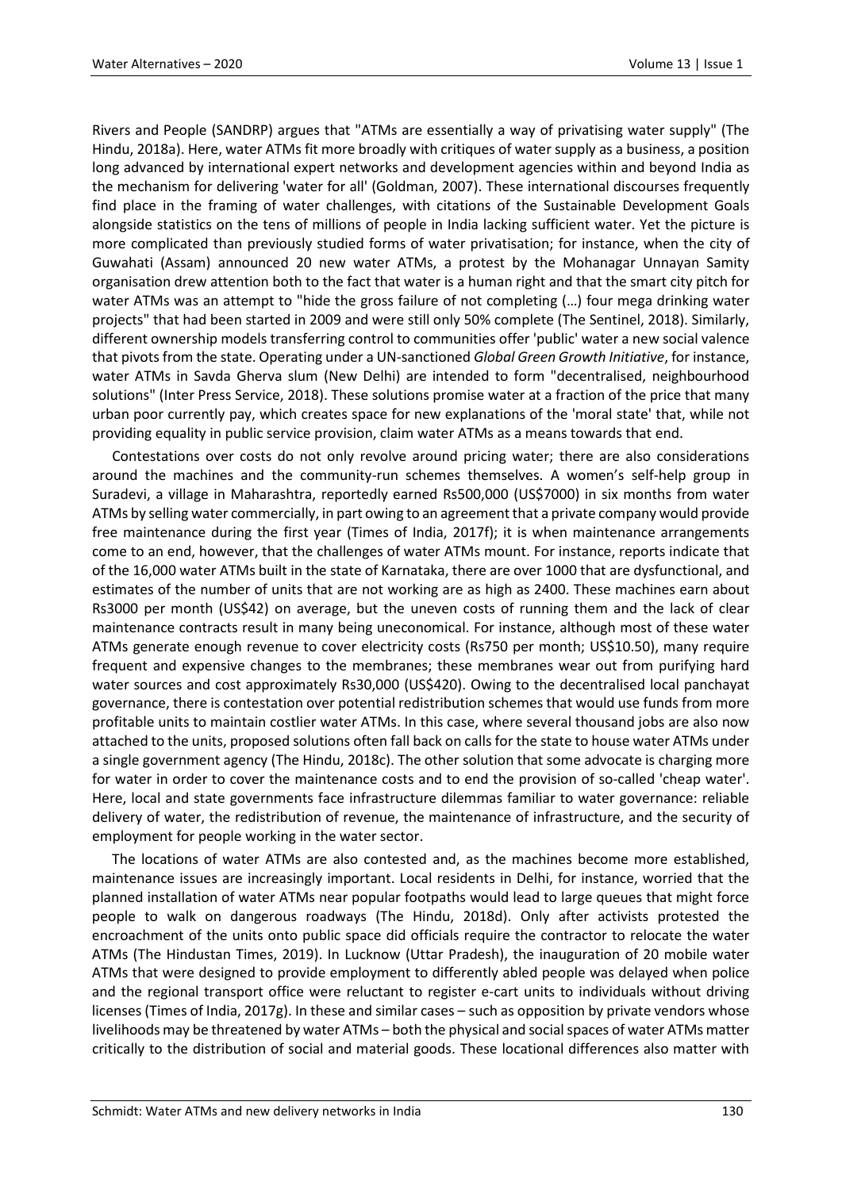Rivers and People (SANDRP) argues that "ATMs are essentially a way of privatising water supply" (The Hindu, 2018a). Here, water ATMs fit more broadly with critiques of water supply as a business, a position long advanced by international expert networks and development agencies within and beyond India as the mechanism for delivering 'water for all' (Goldman, 2007). These international discourses frequently find place in the framing of water challenges, with citations of the Sustainable Development Goals alongside statistics on the tens of millions of people in India lacking sufficient water. Yet the picture is more complicated than previously studied forms of water privatisation; for instance, when the city of Guwahati (Assam) announced 20 new water ATMs, a protest by the Mohanagar Unnayan Samity organisation drew attention both to the fact that water is a human right and that the smart city pitch for water ATMs was an attempt to "hide the gross failure of not completing (…) four mega drinking water projects" that had been started in 2009 and were still only 50% complete (The Sentinel, 2018). Similarly, different ownership models transferring control to communities offer 'public' water a new social valence that pivots from the state. Operating under a UN-sanctioned *Global Green Growth Initiative*, for instance, water ATMs in Savda Gherva slum (New Delhi) are intended to form "decentralised, neighbourhood solutions" (Inter Press Service, 2018). These solutions promise water at a fraction of the price that many urban poor currently pay, which creates space for new explanations of the 'moral state' that, while not providing equality in public service provision, claim water ATMs as a means towards that end.

Contestations over costs do not only revolve around pricing water; there are also considerations around the machines and the community-run schemes themselves. A women's self-help group in Suradevi, a village in Maharashtra, reportedly earned Rs500,000 (US\$7000) in six months from water ATMs by selling water commercially, in part owing to an agreement that a private company would provide free maintenance during the first year (Times of India, 2017f); it is when maintenance arrangements come to an end, however, that the challenges of water ATMs mount. For instance, reports indicate that of the 16,000 water ATMs built in the state of Karnataka, there are over 1000 that are dysfunctional, and estimates of the number of units that are not working are as high as 2400. These machines earn about Rs3000 per month (US\$42) on average, but the uneven costs of running them and the lack of clear maintenance contracts result in many being uneconomical. For instance, although most of these water ATMs generate enough revenue to cover electricity costs (Rs750 per month; US\$10.50), many require frequent and expensive changes to the membranes; these membranes wear out from purifying hard water sources and cost approximately Rs30,000 (US\$420). Owing to the decentralised local panchayat governance, there is contestation over potential redistribution schemes that would use funds from more profitable units to maintain costlier water ATMs. In this case, where several thousand jobs are also now attached to the units, proposed solutions often fall back on calls for the state to house water ATMs under a single government agency (The Hindu, 2018c). The other solution that some advocate is charging more for water in order to cover the maintenance costs and to end the provision of so-called 'cheap water'. Here, local and state governments face infrastructure dilemmas familiar to water governance: reliable delivery of water, the redistribution of revenue, the maintenance of infrastructure, and the security of employment for people working in the water sector.

The locations of water ATMs are also contested and, as the machines become more established, maintenance issues are increasingly important. Local residents in Delhi, for instance, worried that the planned installation of water ATMs near popular footpaths would lead to large queues that might force people to walk on dangerous roadways (The Hindu, 2018d). Only after activists protested the encroachment of the units onto public space did officials require the contractor to relocate the water ATMs (The Hindustan Times, 2019). In Lucknow (Uttar Pradesh), the inauguration of 20 mobile water ATMs that were designed to provide employment to differently abled people was delayed when police and the regional transport office were reluctant to register e-cart units to individuals without driving licenses (Times of India, 2017g). In these and similar cases – such as opposition by private vendors whose livelihoods may be threatened by water ATMs – both the physical and social spaces of water ATMs matter critically to the distribution of social and material goods. These locational differences also matter with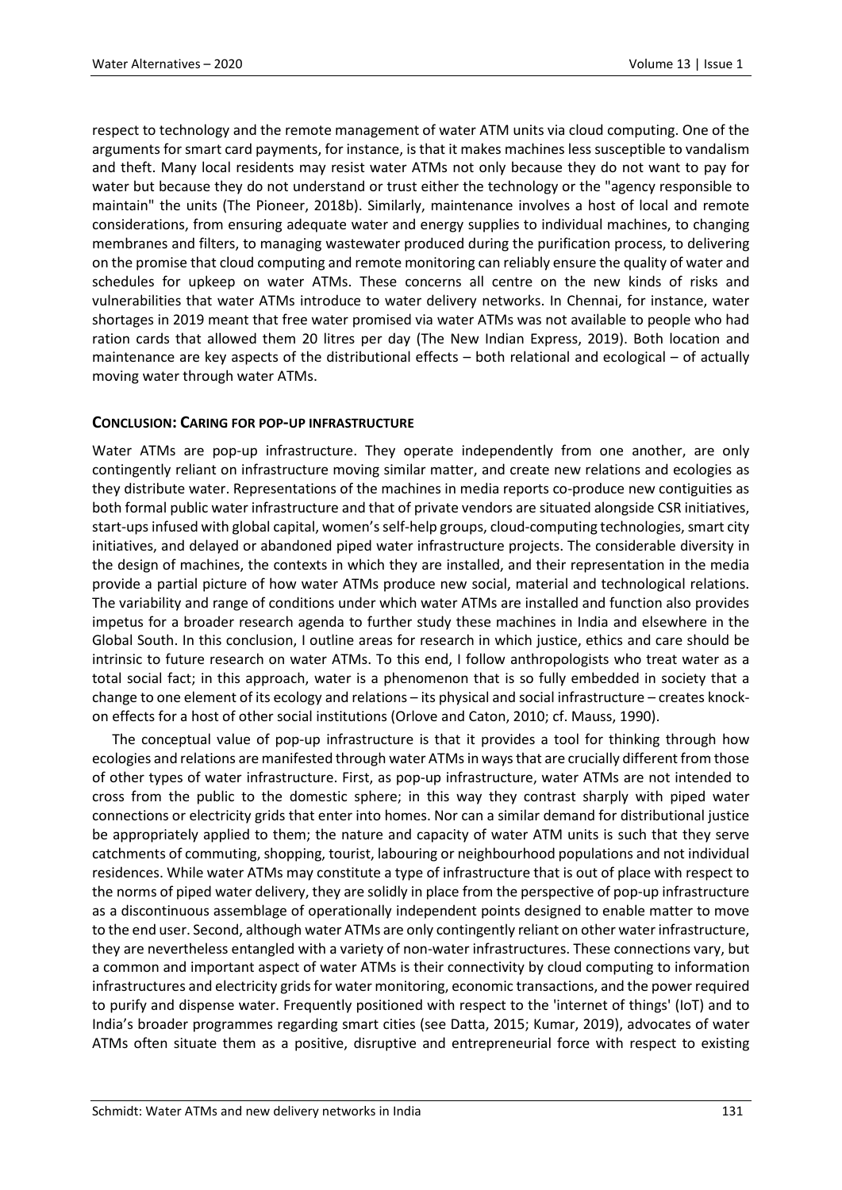respect to technology and the remote management of water ATM units via cloud computing. One of the arguments for smart card payments, for instance, is that it makes machines less susceptible to vandalism and theft. Many local residents may resist water ATMs not only because they do not want to pay for water but because they do not understand or trust either the technology or the "agency responsible to maintain" the units (The Pioneer, 2018b). Similarly, maintenance involves a host of local and remote considerations, from ensuring adequate water and energy supplies to individual machines, to changing membranes and filters, to managing wastewater produced during the purification process, to delivering on the promise that cloud computing and remote monitoring can reliably ensure the quality of water and schedules for upkeep on water ATMs. These concerns all centre on the new kinds of risks and vulnerabilities that water ATMs introduce to water delivery networks. In Chennai, for instance, water shortages in 2019 meant that free water promised via water ATMs was not available to people who had ration cards that allowed them 20 litres per day (The New Indian Express, 2019). Both location and maintenance are key aspects of the distributional effects – both relational and ecological – of actually moving water through water ATMs.

# **CONCLUSION: CARING FOR POP-UP INFRASTRUCTURE**

Water ATMs are pop-up infrastructure. They operate independently from one another, are only contingently reliant on infrastructure moving similar matter, and create new relations and ecologies as they distribute water. Representations of the machines in media reports co-produce new contiguities as both formal public water infrastructure and that of private vendors are situated alongside CSR initiatives, start-ups infused with global capital, women's self-help groups, cloud-computing technologies, smart city initiatives, and delayed or abandoned piped water infrastructure projects. The considerable diversity in the design of machines, the contexts in which they are installed, and their representation in the media provide a partial picture of how water ATMs produce new social, material and technological relations. The variability and range of conditions under which water ATMs are installed and function also provides impetus for a broader research agenda to further study these machines in India and elsewhere in the Global South. In this conclusion, I outline areas for research in which justice, ethics and care should be intrinsic to future research on water ATMs. To this end, I follow anthropologists who treat water as a total social fact; in this approach, water is a phenomenon that is so fully embedded in society that a change to one element of its ecology and relations – its physical and social infrastructure – creates knockon effects for a host of other social institutions (Orlove and Caton, 2010; cf. Mauss, 1990).

The conceptual value of pop-up infrastructure is that it provides a tool for thinking through how ecologies and relations are manifested through water ATMs in ways that are crucially different from those of other types of water infrastructure. First, as pop-up infrastructure, water ATMs are not intended to cross from the public to the domestic sphere; in this way they contrast sharply with piped water connections or electricity grids that enter into homes. Nor can a similar demand for distributional justice be appropriately applied to them; the nature and capacity of water ATM units is such that they serve catchments of commuting, shopping, tourist, labouring or neighbourhood populations and not individual residences. While water ATMs may constitute a type of infrastructure that is out of place with respect to the norms of piped water delivery, they are solidly in place from the perspective of pop-up infrastructure as a discontinuous assemblage of operationally independent points designed to enable matter to move to the end user. Second, although water ATMs are only contingently reliant on other water infrastructure, they are nevertheless entangled with a variety of non-water infrastructures. These connections vary, but a common and important aspect of water ATMs is their connectivity by cloud computing to information infrastructures and electricity grids for water monitoring, economic transactions, and the power required to purify and dispense water. Frequently positioned with respect to the 'internet of things' (IoT) and to India's broader programmes regarding smart cities (see Datta, 2015; Kumar, 2019), advocates of water ATMs often situate them as a positive, disruptive and entrepreneurial force with respect to existing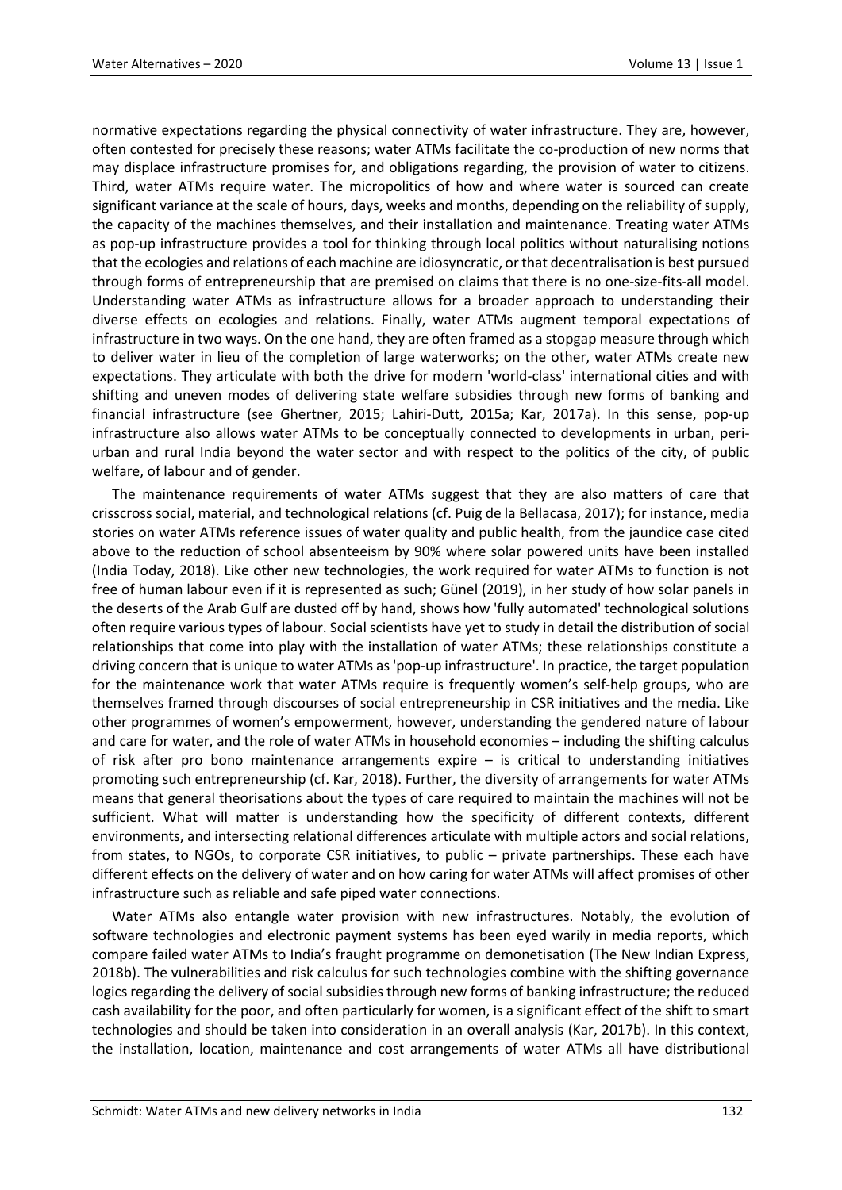normative expectations regarding the physical connectivity of water infrastructure. They are, however, often contested for precisely these reasons; water ATMs facilitate the co-production of new norms that may displace infrastructure promises for, and obligations regarding, the provision of water to citizens. Third, water ATMs require water. The micropolitics of how and where water is sourced can create significant variance at the scale of hours, days, weeks and months, depending on the reliability of supply, the capacity of the machines themselves, and their installation and maintenance. Treating water ATMs as pop-up infrastructure provides a tool for thinking through local politics without naturalising notions that the ecologies and relations of each machine are idiosyncratic, or that decentralisation is best pursued through forms of entrepreneurship that are premised on claims that there is no one-size-fits-all model. Understanding water ATMs as infrastructure allows for a broader approach to understanding their diverse effects on ecologies and relations. Finally, water ATMs augment temporal expectations of infrastructure in two ways. On the one hand, they are often framed as a stopgap measure through which to deliver water in lieu of the completion of large waterworks; on the other, water ATMs create new expectations. They articulate with both the drive for modern 'world-class' international cities and with shifting and uneven modes of delivering state welfare subsidies through new forms of banking and financial infrastructure (see Ghertner, 2015; Lahiri-Dutt, 2015a; Kar, 2017a). In this sense, pop-up infrastructure also allows water ATMs to be conceptually connected to developments in urban, periurban and rural India beyond the water sector and with respect to the politics of the city, of public welfare, of labour and of gender.

The maintenance requirements of water ATMs suggest that they are also matters of care that crisscross social, material, and technological relations (cf. Puig de la Bellacasa, 2017); for instance, media stories on water ATMs reference issues of water quality and public health, from the jaundice case cited above to the reduction of school absenteeism by 90% where solar powered units have been installed (India Today, 2018). Like other new technologies, the work required for water ATMs to function is not free of human labour even if it is represented as such; Günel (2019), in her study of how solar panels in the deserts of the Arab Gulf are dusted off by hand, shows how 'fully automated' technological solutions often require various types of labour. Social scientists have yet to study in detail the distribution of social relationships that come into play with the installation of water ATMs; these relationships constitute a driving concern that is unique to water ATMs as 'pop-up infrastructure'. In practice, the target population for the maintenance work that water ATMs require is frequently women's self-help groups, who are themselves framed through discourses of social entrepreneurship in CSR initiatives and the media. Like other programmes of women's empowerment, however, understanding the gendered nature of labour and care for water, and the role of water ATMs in household economies – including the shifting calculus of risk after pro bono maintenance arrangements expire – is critical to understanding initiatives promoting such entrepreneurship (cf. Kar, 2018). Further, the diversity of arrangements for water ATMs means that general theorisations about the types of care required to maintain the machines will not be sufficient. What will matter is understanding how the specificity of different contexts, different environments, and intersecting relational differences articulate with multiple actors and social relations, from states, to NGOs, to corporate CSR initiatives, to public – private partnerships. These each have different effects on the delivery of water and on how caring for water ATMs will affect promises of other infrastructure such as reliable and safe piped water connections.

Water ATMs also entangle water provision with new infrastructures. Notably, the evolution of software technologies and electronic payment systems has been eyed warily in media reports, which compare failed water ATMs to India's fraught programme on demonetisation (The New Indian Express, 2018b). The vulnerabilities and risk calculus for such technologies combine with the shifting governance logics regarding the delivery of social subsidies through new forms of banking infrastructure; the reduced cash availability for the poor, and often particularly for women, is a significant effect of the shift to smart technologies and should be taken into consideration in an overall analysis (Kar, 2017b). In this context, the installation, location, maintenance and cost arrangements of water ATMs all have distributional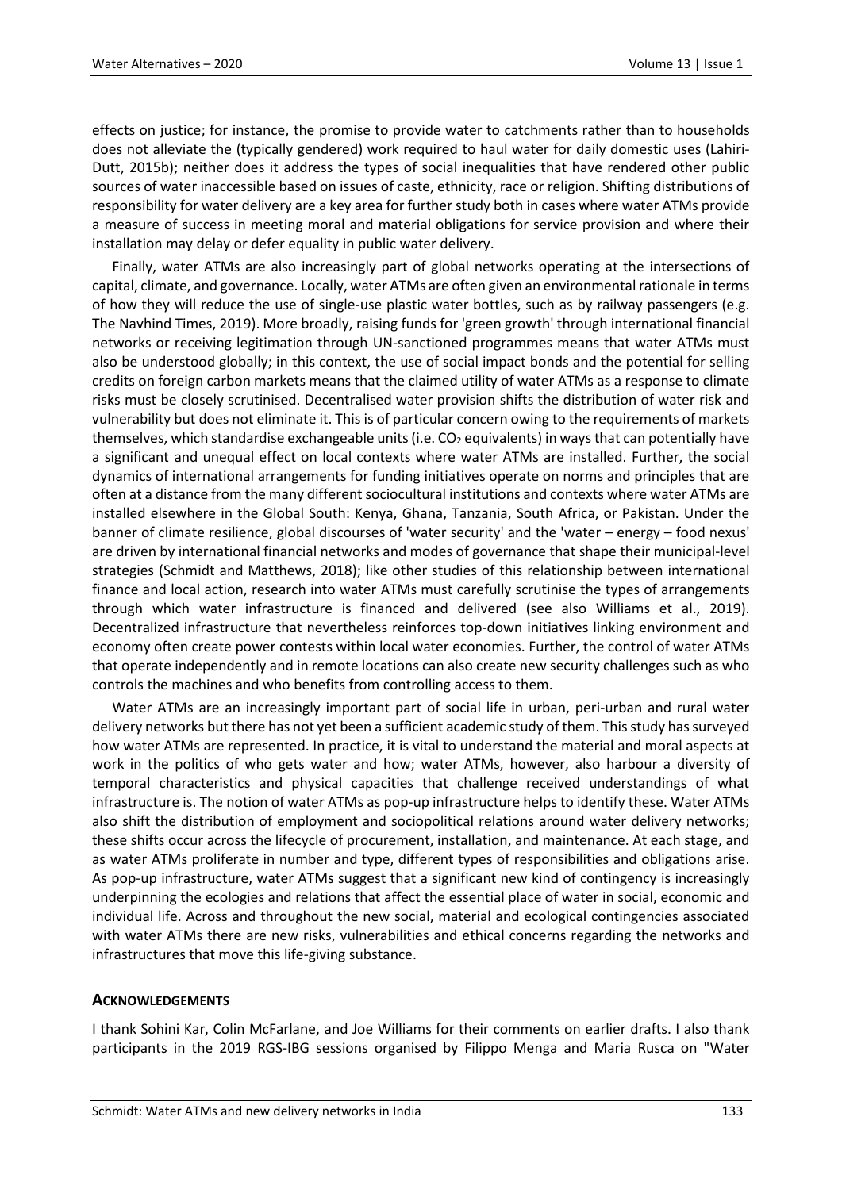effects on justice; for instance, the promise to provide water to catchments rather than to households does not alleviate the (typically gendered) work required to haul water for daily domestic uses (Lahiri-Dutt, 2015b); neither does it address the types of social inequalities that have rendered other public sources of water inaccessible based on issues of caste, ethnicity, race or religion. Shifting distributions of responsibility for water delivery are a key area for further study both in cases where water ATMs provide a measure of success in meeting moral and material obligations for service provision and where their installation may delay or defer equality in public water delivery.

Finally, water ATMs are also increasingly part of global networks operating at the intersections of capital, climate, and governance. Locally, water ATMs are often given an environmental rationale in terms of how they will reduce the use of single-use plastic water bottles, such as by railway passengers (e.g. The Navhind Times, 2019). More broadly, raising funds for 'green growth' through international financial networks or receiving legitimation through UN-sanctioned programmes means that water ATMs must also be understood globally; in this context, the use of social impact bonds and the potential for selling credits on foreign carbon markets means that the claimed utility of water ATMs as a response to climate risks must be closely scrutinised. Decentralised water provision shifts the distribution of water risk and vulnerability but does not eliminate it. This is of particular concern owing to the requirements of markets themselves, which standardise exchangeable units (i.e.  $CO<sub>2</sub>$  equivalents) in ways that can potentially have a significant and unequal effect on local contexts where water ATMs are installed. Further, the social dynamics of international arrangements for funding initiatives operate on norms and principles that are often at a distance from the many different sociocultural institutions and contexts where water ATMs are installed elsewhere in the Global South: Kenya, Ghana, Tanzania, South Africa, or Pakistan. Under the banner of climate resilience, global discourses of 'water security' and the 'water – energy – food nexus' are driven by international financial networks and modes of governance that shape their municipal-level strategies (Schmidt and Matthews, 2018); like other studies of this relationship between international finance and local action, research into water ATMs must carefully scrutinise the types of arrangements through which water infrastructure is financed and delivered (see also Williams et al., 2019). Decentralized infrastructure that nevertheless reinforces top-down initiatives linking environment and economy often create power contests within local water economies. Further, the control of water ATMs that operate independently and in remote locations can also create new security challenges such as who controls the machines and who benefits from controlling access to them.

Water ATMs are an increasingly important part of social life in urban, peri-urban and rural water delivery networks but there has not yet been a sufficient academic study of them. This study has surveyed how water ATMs are represented. In practice, it is vital to understand the material and moral aspects at work in the politics of who gets water and how; water ATMs, however, also harbour a diversity of temporal characteristics and physical capacities that challenge received understandings of what infrastructure is. The notion of water ATMs as pop-up infrastructure helps to identify these. Water ATMs also shift the distribution of employment and sociopolitical relations around water delivery networks; these shifts occur across the lifecycle of procurement, installation, and maintenance. At each stage, and as water ATMs proliferate in number and type, different types of responsibilities and obligations arise. As pop-up infrastructure, water ATMs suggest that a significant new kind of contingency is increasingly underpinning the ecologies and relations that affect the essential place of water in social, economic and individual life. Across and throughout the new social, material and ecological contingencies associated with water ATMs there are new risks, vulnerabilities and ethical concerns regarding the networks and infrastructures that move this life-giving substance.

# **ACKNOWLEDGEMENTS**

I thank Sohini Kar, Colin McFarlane, and Joe Williams for their comments on earlier drafts. I also thank participants in the 2019 RGS-IBG sessions organised by Filippo Menga and Maria Rusca on "Water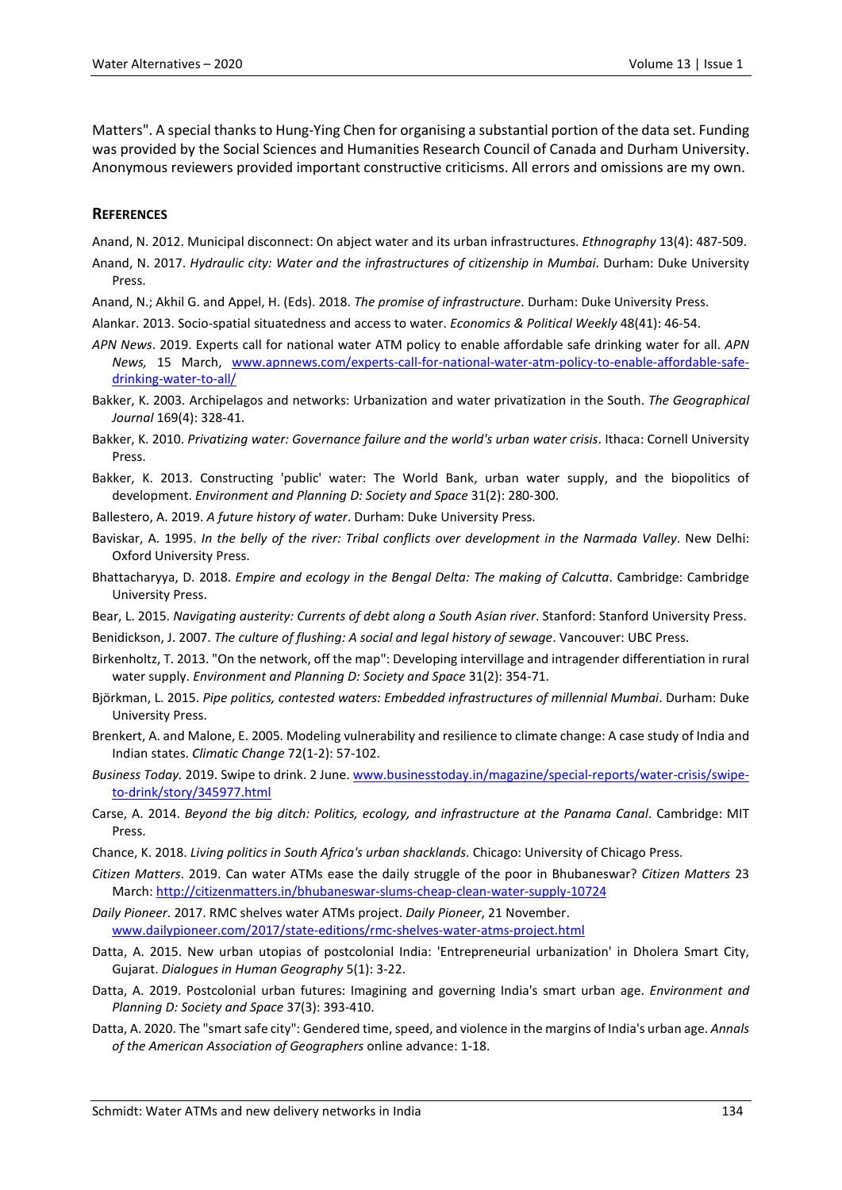Matters". A special thanks to Hung-Ying Chen for organising a substantial portion of the data set. Funding was provided by the Social Sciences and Humanities Research Council of Canada and Durham University. Anonymous reviewers provided important constructive criticisms. All errors and omissions are my own.

# **REFERENCES**

Anand, N. 2012. Municipal disconnect: On abject water and its urban infrastructures. *Ethnography* 13(4): 487-509.

- Anand, N. 2017. *Hydraulic city: Water and the infrastructures of citizenship in Mumbai*. Durham: Duke University Press.
- Anand, N.; Akhil G. and Appel, H. (Eds). 2018. *The promise of infrastructure*. Durham: Duke University Press.
- Alankar. 2013. Socio-spatial situatedness and access to water. *Economics & Political Weekly* 48(41): 46-54.
- *APN News*. 2019. Experts call for national water ATM policy to enable affordable safe drinking water for all. *APN News,* 15 March, [www.apnnews.com/experts-call-for-national-water-atm-policy-to-enable-affordable-safe](http://www.apnnews.com/experts-call-for-national-water-atm-policy-to-enable-affordable-safe-drinking-water-to-all/)[drinking-water-to-all/](http://www.apnnews.com/experts-call-for-national-water-atm-policy-to-enable-affordable-safe-drinking-water-to-all/)
- Bakker, K. 2003. Archipelagos and networks: Urbanization and water privatization in the South. *The Geographical Journal* 169(4): 328-41.
- Bakker, K. 2010. *Privatizing water: Governance failure and the world's urban water crisis*. Ithaca: Cornell University Press.
- Bakker, K. 2013. Constructing 'public' water: The World Bank, urban water supply, and the biopolitics of development. *Environment and Planning D: Society and Space* 31(2): 280-300.
- Ballestero, A. 2019. *A future history of water*. Durham: Duke University Press.
- Baviskar, A. 1995. *In the belly of the river: Tribal conflicts over development in the Narmada Valley*. New Delhi: Oxford University Press.
- Bhattacharyya, D. 2018. *Empire and ecology in the Bengal Delta: The making of Calcutta*. Cambridge: Cambridge University Press.
- Bear, L. 2015. *Navigating austerity: Currents of debt along a South Asian river*. Stanford: Stanford University Press.
- Benidickson, J. 2007. *The culture of flushing: A social and legal history of sewage*. Vancouver: UBC Press.
- Birkenholtz, T. 2013. "On the network, off the map": Developing intervillage and intragender differentiation in rural water supply. *Environment and Planning D: Society and Space* 31(2): 354-71.
- Björkman, L. 2015. *Pipe politics, contested waters: Embedded infrastructures of millennial Mumbai*. Durham: Duke University Press.
- Brenkert, A. and Malone, E. 2005. Modeling vulnerability and resilience to climate change: A case study of India and Indian states. *Climatic Change* 72(1-2): 57-102.
- *Business Today.* 2019. Swipe to drink. 2 June. [www.businesstoday.in/magazine/special-reports/water-crisis/swipe](http://www.businesstoday.in/magazine/special-reports/water-crisis/swipe-to-drink/story/345977.html)[to-drink/story/345977.html](http://www.businesstoday.in/magazine/special-reports/water-crisis/swipe-to-drink/story/345977.html)
- Carse, A. 2014. *Beyond the big ditch: Politics, ecology, and infrastructure at the Panama Canal*. Cambridge: MIT Press.
- Chance, K. 2018. *Living politics in South Africa's urban shacklands*. Chicago: University of Chicago Press.
- *Citizen Matters*. 2019. Can water ATMs ease the daily struggle of the poor in Bhubaneswar? *Citizen Matters* 23 March[: http://citizenmatters.in/bhubaneswar-slums-cheap-clean-water-supply-10724](http://citizenmatters.in/bhubaneswar-slums-cheap-clean-water-supply-10724)
- *Daily Pioneer*. 2017. RMC shelves water ATMs project. *Daily Pioneer*, 21 November. [www.dailypioneer.com/2017/state-editions/rmc-shelves-water-atms-project.html](http://www.dailypioneer.com/2017/state-editions/rmc-shelves-water-atms-project.html)
- Datta, A. 2015. New urban utopias of postcolonial India: 'Entrepreneurial urbanization' in Dholera Smart City, Gujarat. *Dialogues in Human Geography* 5(1): 3-22.
- Datta, A. 2019. Postcolonial urban futures: Imagining and governing India's smart urban age. *Environment and Planning D: Society and Space* 37(3): 393-410.
- Datta, A. 2020. The "smart safe city": Gendered time, speed, and violence in the margins of India's urban age. *Annals of the American Association of Geographers* online advance: 1-18.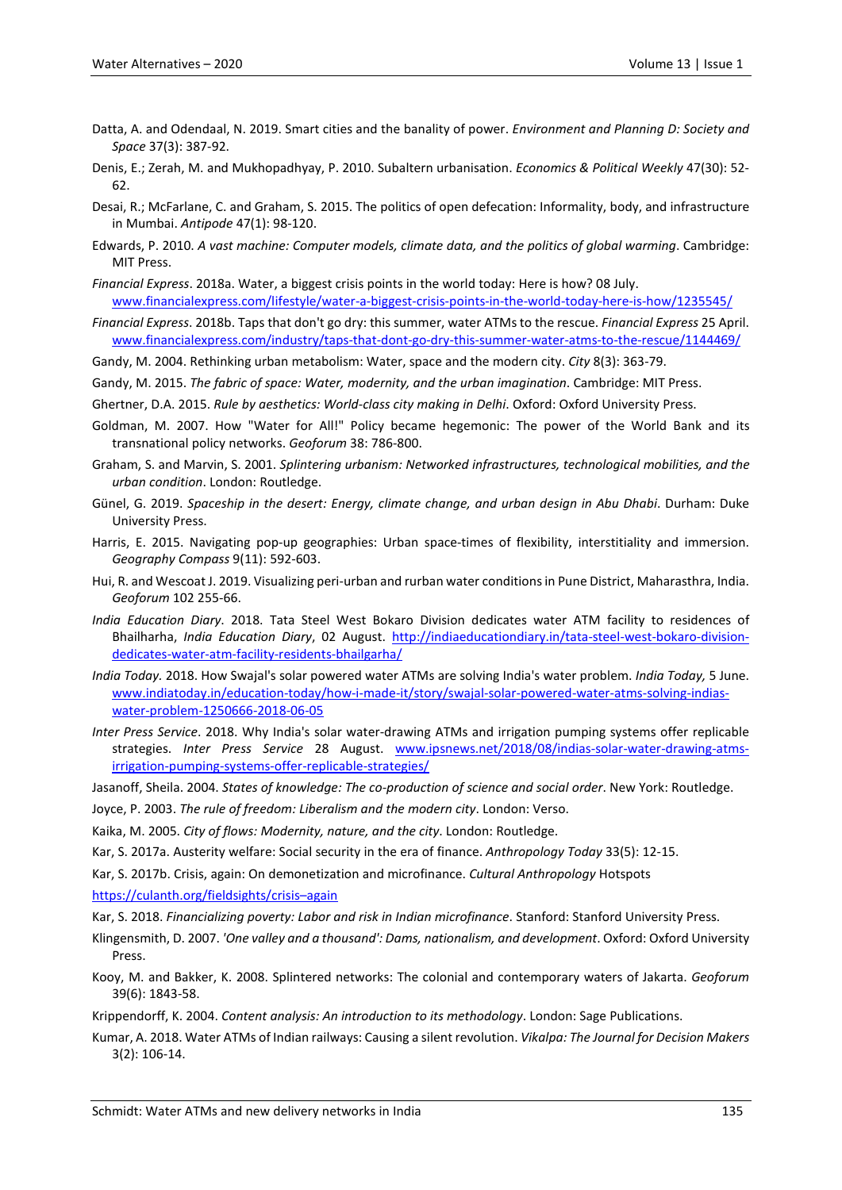- Datta, A. and Odendaal, N. 2019. Smart cities and the banality of power. *Environment and Planning D: Society and Space* 37(3): 387-92.
- Denis, E.; Zerah, M. and Mukhopadhyay, P. 2010. Subaltern urbanisation. *Economics & Political Weekly* 47(30): 52- 62.
- Desai, R.; McFarlane, C. and Graham, S. 2015. The politics of open defecation: Informality, body, and infrastructure in Mumbai. *Antipode* 47(1): 98-120.
- Edwards, P. 2010. *A vast machine: Computer models, climate data, and the politics of global warming*. Cambridge: MIT Press.
- *Financial Express*. 2018a. Water, a biggest crisis points in the world today: Here is how? 08 July. [www.financialexpress.com/lifestyle/water-a-biggest-crisis-points-in-the-world-today-here-is-how/1235545/](http://www.financialexpress.com/lifestyle/water-a-biggest-crisis-points-in-the-world-today-here-is-how/1235545/)
- *Financial Express*. 2018b. Taps that don't go dry: this summer, water ATMs to the rescue. *Financial Express* 25 April. [www.financialexpress.com/industry/taps-that-dont-go-dry-this-summer-water-atms-to-the-rescue/1144469/](http://www.financialexpress.com/industry/taps-that-dont-go-dry-this-summer-water-atms-to-the-rescue/1144469/)
- Gandy, M. 2004. Rethinking urban metabolism: Water, space and the modern city. *City* 8(3): 363-79.
- Gandy, M. 2015. *The fabric of space: Water, modernity, and the urban imagination*. Cambridge: MIT Press.
- Ghertner, D.A. 2015. *Rule by aesthetics: World-class city making in Delhi*. Oxford: Oxford University Press.
- Goldman, M. 2007. How "Water for All!" Policy became hegemonic: The power of the World Bank and its transnational policy networks. *Geoforum* 38: 786-800.
- Graham, S. and Marvin, S. 2001. *Splintering urbanism: Networked infrastructures, technological mobilities, and the urban condition*. London: Routledge.
- Günel, G. 2019. *Spaceship in the desert: Energy, climate change, and urban design in Abu Dhabi*. Durham: Duke University Press.
- Harris, E. 2015. Navigating pop-up geographies: Urban space-times of flexibility, interstitiality and immersion. *Geography Compass* 9(11): 592-603.
- Hui, R. and Wescoat J. 2019. Visualizing peri-urban and rurban water conditions in Pune District, Maharasthra, India. *Geoforum* 102 255-66.
- *India Education Diary*. 2018. Tata Steel West Bokaro Division dedicates water ATM facility to residences of Bhailharha, *India Education Diary*, 02 August. [http://indiaeducationdiary.in/tata-steel-west-bokaro-division](http://indiaeducationdiary.in/tata-steel-west-bokaro-division-dedicates-water-atm-facility-residents-bhailgarha/)[dedicates-water-atm-facility-residents-bhailgarha/](http://indiaeducationdiary.in/tata-steel-west-bokaro-division-dedicates-water-atm-facility-residents-bhailgarha/)
- *India Today.* 2018. How Swajal's solar powered water ATMs are solving India's water problem. *India Today,* 5 June. [www.indiatoday.in/education-today/how-i-made-it/story/swajal-solar-powered-water-atms-solving-indias](http://www.indiatoday.in/education-today/how-i-made-it/story/swajal-solar-powered-water-atms-solving-indias-water-problem-1250666-2018-06-05)[water-problem-1250666-2018-06-05](http://www.indiatoday.in/education-today/how-i-made-it/story/swajal-solar-powered-water-atms-solving-indias-water-problem-1250666-2018-06-05)
- *Inter Press Service*. 2018. Why India's solar water-drawing ATMs and irrigation pumping systems offer replicable strategies. *Inter Press Service* 28 August. [www.ipsnews.net/2018/08/indias-solar-water-drawing-atms](http://www.ipsnews.net/2018/08/indias-solar-water-drawing-atms-irrigation-pumping-systems-offer-replicable-strategies/)[irrigation-pumping-systems-offer-replicable-strategies/](http://www.ipsnews.net/2018/08/indias-solar-water-drawing-atms-irrigation-pumping-systems-offer-replicable-strategies/)
- Jasanoff, Sheila. 2004. *States of knowledge: The co-production of science and social order*. New York: Routledge.
- Joyce, P. 2003. *The rule of freedom: Liberalism and the modern city*. London: Verso.
- Kaika, M. 2005. *City of flows: Modernity, nature, and the city*. London: Routledge.
- Kar, S. 2017a. Austerity welfare: Social security in the era of finance. *Anthropology Today* 33(5): 12-15.
- Kar, S. 2017b. Crisis, again: On demonetization and microfinance. *Cultural Anthropology* Hotspots

[https://culanth.org/fieldsights/crisis–again](https://culanth.org/fieldsights/crisis%E2%80%93again)

Kar, S. 2018. *Financializing poverty: Labor and risk in Indian microfinance*. Stanford: Stanford University Press.

- Klingensmith, D. 2007. *'One valley and a thousand': Dams, nationalism, and development*. Oxford: Oxford University Press.
- Kooy, M. and Bakker, K. 2008. Splintered networks: The colonial and contemporary waters of Jakarta. *Geoforum* 39(6): 1843-58.

Krippendorff, K. 2004. *Content analysis: An introduction to its methodology*. London: Sage Publications.

Kumar, A. 2018. Water ATMs of Indian railways: Causing a silent revolution. *Vikalpa: The Journal for Decision Makers* 3(2): 106-14.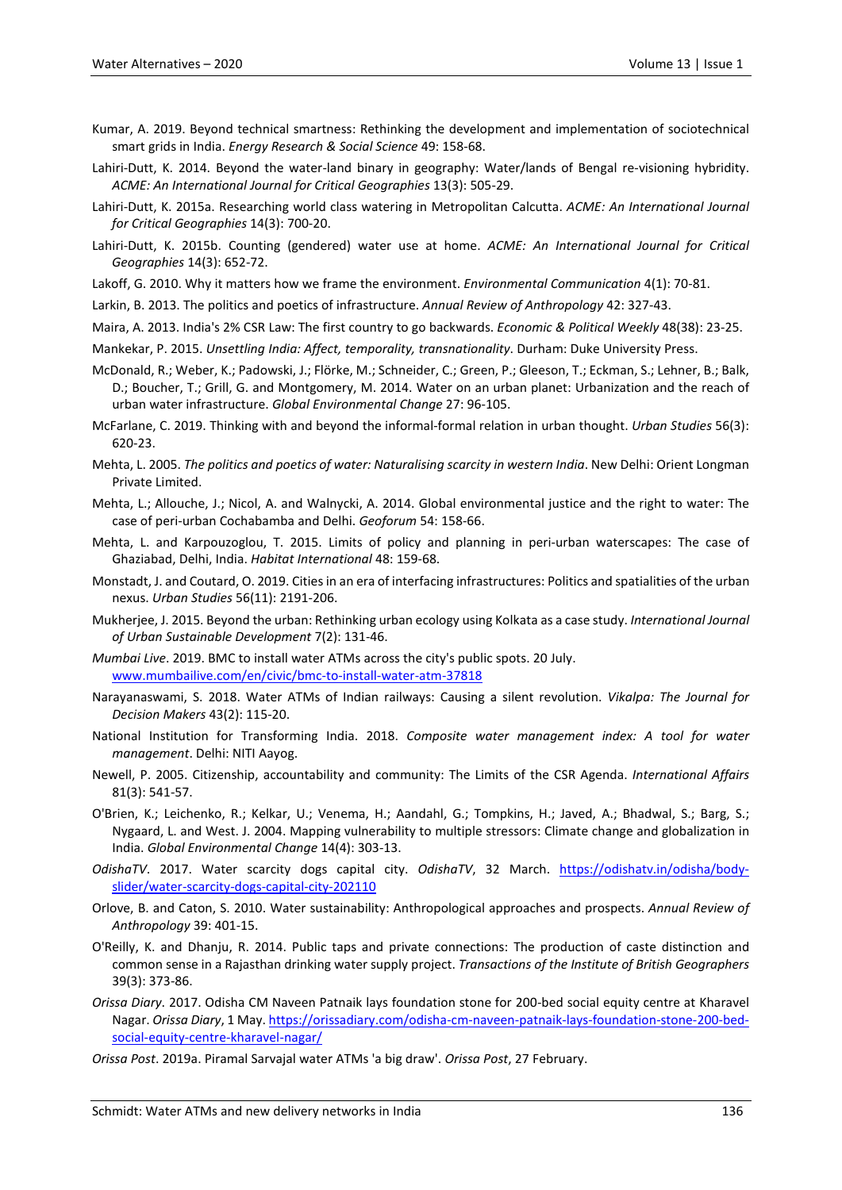- Kumar, A. 2019. Beyond technical smartness: Rethinking the development and implementation of sociotechnical smart grids in India. *Energy Research & Social Science* 49: 158-68.
- Lahiri-Dutt, K. 2014. Beyond the water-land binary in geography: Water/lands of Bengal re-visioning hybridity. *ACME: An International Journal for Critical Geographies* 13(3): 505-29.
- Lahiri-Dutt, K. 2015a. Researching world class watering in Metropolitan Calcutta. *ACME: An International Journal for Critical Geographies* 14(3): 700-20.
- Lahiri-Dutt, K. 2015b. Counting (gendered) water use at home. *ACME: An International Journal for Critical Geographies* 14(3): 652-72.
- Lakoff, G. 2010. Why it matters how we frame the environment. *Environmental Communication* 4(1): 70-81.
- Larkin, B. 2013. The politics and poetics of infrastructure. *Annual Review of Anthropology* 42: 327-43.

Maira, A. 2013. India's 2% CSR Law: The first country to go backwards. *Economic & Political Weekly* 48(38): 23-25.

Mankekar, P. 2015. *Unsettling India: Affect, temporality, transnationality*. Durham: Duke University Press.

- McDonald, R.; Weber, K.; Padowski, J.; Flörke, M.; Schneider, C.; Green, P.; Gleeson, T.; Eckman, S.; Lehner, B.; Balk, D.; Boucher, T.; Grill, G. and Montgomery, M. 2014. Water on an urban planet: Urbanization and the reach of urban water infrastructure. *Global Environmental Change* 27: 96-105.
- McFarlane, C. 2019. Thinking with and beyond the informal-formal relation in urban thought. *Urban Studies* 56(3): 620-23.
- Mehta, L. 2005. *The politics and poetics of water: Naturalising scarcity in western India*. New Delhi: Orient Longman Private Limited.
- Mehta, L.; Allouche, J.; Nicol, A. and Walnycki, A. 2014. Global environmental justice and the right to water: The case of peri-urban Cochabamba and Delhi. *Geoforum* 54: 158-66.
- Mehta, L. and Karpouzoglou, T. 2015. Limits of policy and planning in peri-urban waterscapes: The case of Ghaziabad, Delhi, India. *Habitat International* 48: 159-68.
- Monstadt, J. and Coutard, O. 2019. Cities in an era of interfacing infrastructures: Politics and spatialities of the urban nexus. *Urban Studies* 56(11): 2191-206.
- Mukherjee, J. 2015. Beyond the urban: Rethinking urban ecology using Kolkata as a case study. *International Journal of Urban Sustainable Development* 7(2): 131-46.
- *Mumbai Live*. 2019. BMC to install water ATMs across the city's public spots. 20 July. [www.mumbailive.com/en/civic/bmc-to-install-water-atm-37818](http://www.mumbailive.com/en/civic/bmc-to-install-water-atm-37818)
- Narayanaswami, S. 2018. Water ATMs of Indian railways: Causing a silent revolution. *Vikalpa: The Journal for Decision Makers* 43(2): 115-20.
- National Institution for Transforming India. 2018. *Composite water management index: A tool for water management*. Delhi: NITI Aayog.
- Newell, P. 2005. Citizenship, accountability and community: The Limits of the CSR Agenda. *International Affairs* 81(3): 541-57.
- O'Brien, K.; Leichenko, R.; Kelkar, U.; Venema, H.; Aandahl, G.; Tompkins, H.; Javed, A.; Bhadwal, S.; Barg, S.; Nygaard, L. and West. J. 2004. Mapping vulnerability to multiple stressors: Climate change and globalization in India. *Global Environmental Change* 14(4): 303-13.
- *OdishaTV*. 2017. Water scarcity dogs capital city. *OdishaTV*, 32 March. [https://odishatv.in/odisha/body](https://odishatv.in/odisha/body-slider/water-scarcity-dogs-capital-city-202110)[slider/water-scarcity-dogs-capital-city-202110](https://odishatv.in/odisha/body-slider/water-scarcity-dogs-capital-city-202110)
- Orlove, B. and Caton, S. 2010. Water sustainability: Anthropological approaches and prospects. *Annual Review of Anthropology* 39: 401-15.
- O'Reilly, K. and Dhanju, R. 2014. Public taps and private connections: The production of caste distinction and common sense in a Rajasthan drinking water supply project. *Transactions of the Institute of British Geographers* 39(3): 373-86.
- *Orissa Diary*. 2017. Odisha CM Naveen Patnaik lays foundation stone for 200-bed social equity centre at Kharavel Nagar. *Orissa Diary*, 1 May. [https://orissadiary.com/odisha-cm-naveen-patnaik-lays-foundation-stone-200-bed](https://orissadiary.com/odisha-cm-naveen-patnaik-lays-foundation-stone-200-bed-social-equity-centre-kharavel-nagar/)[social-equity-centre-kharavel-nagar/](https://orissadiary.com/odisha-cm-naveen-patnaik-lays-foundation-stone-200-bed-social-equity-centre-kharavel-nagar/)
- *Orissa Post*. 2019a. Piramal Sarvajal water ATMs 'a big draw'. *Orissa Post*, 27 February.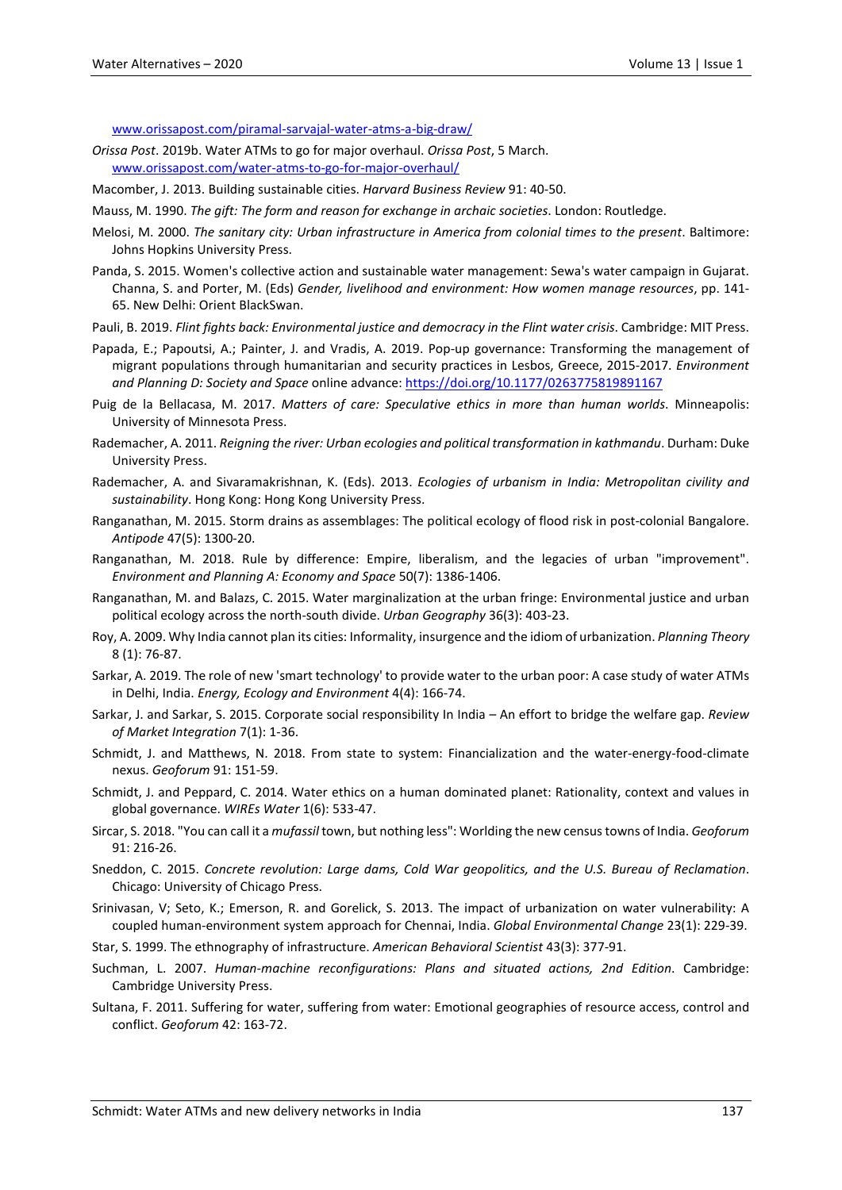[www.orissapost.com/piramal-sarvajal-water-atms-a-big-draw/](http://www.orissapost.com/piramal-sarvajal-water-atms-a-big-draw/)

- *Orissa Post*. 2019b. Water ATMs to go for major overhaul. *Orissa Post*, 5 March. [www.orissapost.com/water-atms-to-go-for-major-overhaul/](http://www.orissapost.com/water-atms-to-go-for-major-overhaul/)
- Macomber, J. 2013. Building sustainable cities. *Harvard Business Review* 91: 40-50.
- Mauss, M. 1990. *The gift: The form and reason for exchange in archaic societies*. London: Routledge.
- Melosi, M. 2000. *The sanitary city: Urban infrastructure in America from colonial times to the present*. Baltimore: Johns Hopkins University Press.
- Panda, S. 2015. Women's collective action and sustainable water management: Sewa's water campaign in Gujarat. Channa, S. and Porter, M. (Eds) *Gender, livelihood and environment: How women manage resources*, pp. 141- 65. New Delhi: Orient BlackSwan.
- Pauli, B. 2019. *Flint fights back: Environmental justice and democracy in the Flint water crisis*. Cambridge: MIT Press.
- Papada, E.; Papoutsi, A.; Painter, J. and Vradis, A. 2019. Pop-up governance: Transforming the management of migrant populations through humanitarian and security practices in Lesbos, Greece, 2015-2017. *Environment and Planning D: Society and Space* online advance:<https://doi.org/10.1177/0263775819891167>
- Puig de la Bellacasa, M. 2017. *Matters of care: Speculative ethics in more than human worlds*. Minneapolis: University of Minnesota Press.
- Rademacher, A. 2011. *Reigning the river: Urban ecologies and political transformation in kathmandu*. Durham: Duke University Press.
- Rademacher, A. and Sivaramakrishnan, K. (Eds). 2013. *Ecologies of urbanism in India: Metropolitan civility and sustainability*. Hong Kong: Hong Kong University Press.
- Ranganathan, M. 2015. Storm drains as assemblages: The political ecology of flood risk in post-colonial Bangalore. *Antipode* 47(5): 1300-20.
- Ranganathan, M. 2018. Rule by difference: Empire, liberalism, and the legacies of urban "improvement". *Environment and Planning A: Economy and Space* 50(7): 1386-1406.
- Ranganathan, M. and Balazs, C. 2015. Water marginalization at the urban fringe: Environmental justice and urban political ecology across the north-south divide. *Urban Geography* 36(3): 403-23.
- Roy, A. 2009. Why India cannot plan its cities: Informality, insurgence and the idiom of urbanization. *Planning Theory* 8 (1): 76-87.
- Sarkar, A. 2019. The role of new 'smart technology' to provide water to the urban poor: A case study of water ATMs in Delhi, India. *Energy, Ecology and Environment* 4(4): 166-74.
- Sarkar, J. and Sarkar, S. 2015. Corporate social responsibility In India An effort to bridge the welfare gap. *Review of Market Integration* 7(1): 1-36.
- Schmidt, J. and Matthews, N. 2018. From state to system: Financialization and the water-energy-food-climate nexus. *Geoforum* 91: 151-59.
- Schmidt, J. and Peppard, C. 2014. Water ethics on a human dominated planet: Rationality, context and values in global governance. *WIREs Water* 1(6): 533-47.
- Sircar, S. 2018. "You can call it a *mufassil* town, but nothing less": Worlding the new census towns of India. *Geoforum* 91: 216-26.
- Sneddon, C. 2015. *Concrete revolution: Large dams, Cold War geopolitics, and the U.S. Bureau of Reclamation*. Chicago: University of Chicago Press.
- Srinivasan, V; Seto, K.; Emerson, R. and Gorelick, S. 2013. The impact of urbanization on water vulnerability: A coupled human-environment system approach for Chennai, India. *Global Environmental Change* 23(1): 229-39.
- Star, S. 1999. The ethnography of infrastructure. *American Behavioral Scientist* 43(3): 377-91.
- Suchman, L. 2007. *Human-machine reconfigurations: Plans and situated actions, 2nd Edition*. Cambridge: Cambridge University Press.
- Sultana, F. 2011. Suffering for water, suffering from water: Emotional geographies of resource access, control and conflict. *Geoforum* 42: 163-72.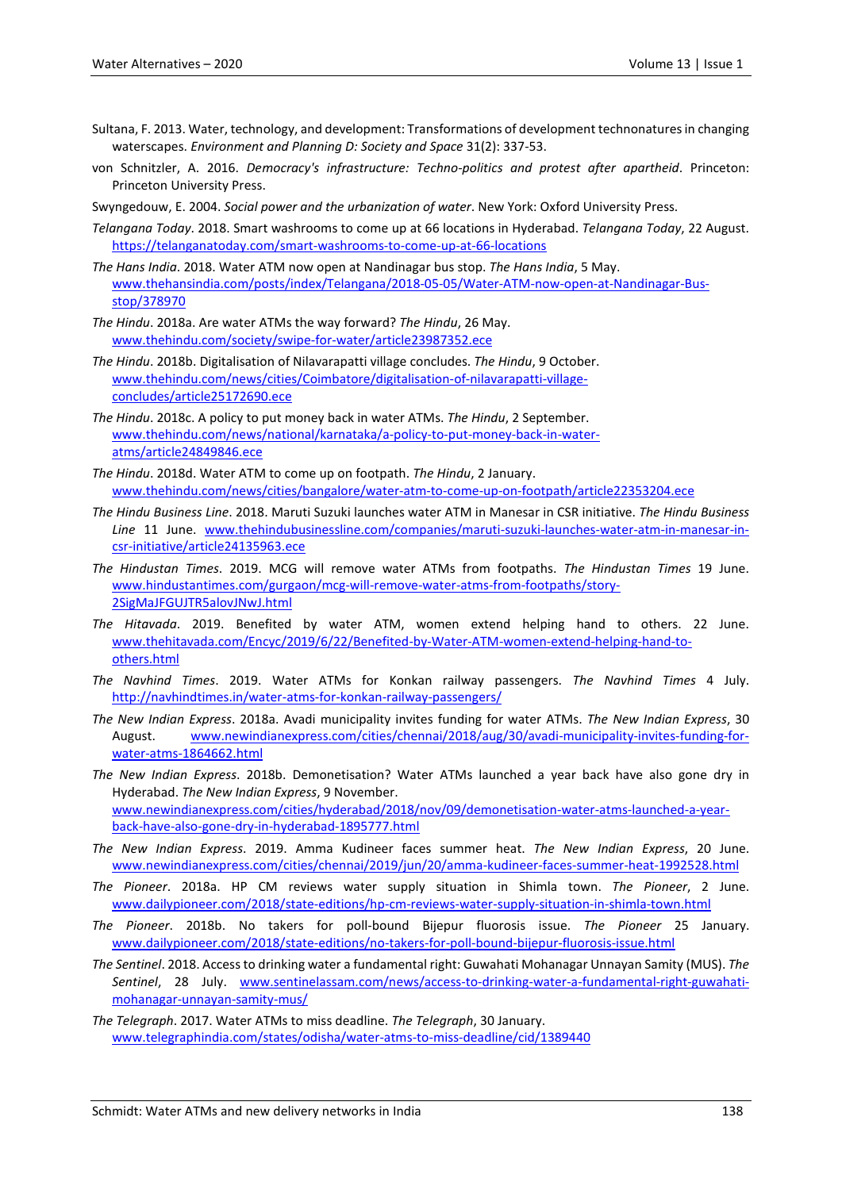- Sultana, F. 2013. Water, technology, and development: Transformations of development technonatures in changing waterscapes. *Environment and Planning D: Society and Space* 31(2): 337-53.
- von Schnitzler, A. 2016. *Democracy's infrastructure: Techno-politics and protest after apartheid*. Princeton: Princeton University Press.

Swyngedouw, E. 2004. *Social power and the urbanization of water*. New York: Oxford University Press.

- *Telangana Today*. 2018. Smart washrooms to come up at 66 locations in Hyderabad. *Telangana Today*, 22 August. <https://telanganatoday.com/smart-washrooms-to-come-up-at-66-locations>
- *The Hans India*. 2018. Water ATM now open at Nandinagar bus stop. *The Hans India*, 5 May. [www.thehansindia.com/posts/index/Telangana/2018-05-05/Water-ATM-now-open-at-Nandinagar-Bus](http://www.thehansindia.com/posts/index/Telangana/2018-05-05/Water-ATM-now-open-at-Nandinagar-Bus-stop/378970)[stop/378970](http://www.thehansindia.com/posts/index/Telangana/2018-05-05/Water-ATM-now-open-at-Nandinagar-Bus-stop/378970)
- *The Hindu*. 2018a. Are water ATMs the way forward? *The Hindu*, 26 May. [www.thehindu.com/society/swipe-for-water/article23987352.ece](http://www.thehindu.com/society/swipe-for-water/article23987352.ece)
- *The Hindu*. 2018b. Digitalisation of Nilavarapatti village concludes. *The Hindu*, 9 October. [www.thehindu.com/news/cities/Coimbatore/digitalisation-of-nilavarapatti-village](http://www.thehindu.com/news/cities/Coimbatore/digitalisation-of-nilavarapatti-village-concludes/article25172690.ece)[concludes/article25172690.ece](http://www.thehindu.com/news/cities/Coimbatore/digitalisation-of-nilavarapatti-village-concludes/article25172690.ece)
- *The Hindu*. 2018c. A policy to put money back in water ATMs. *The Hindu*, 2 September. [www.thehindu.com/news/national/karnataka/a-policy-to-put-money-back-in-water](http://www.thehindu.com/news/national/karnataka/a-policy-to-put-money-back-in-water-atms/article24849846.ece)[atms/article24849846.ece](http://www.thehindu.com/news/national/karnataka/a-policy-to-put-money-back-in-water-atms/article24849846.ece)
- *The Hindu*. 2018d. Water ATM to come up on footpath. *The Hindu*, 2 January. [www.thehindu.com/news/cities/bangalore/water-atm-to-come-up-on-footpath/article22353204.ece](http://www.thehindu.com/news/cities/bangalore/water-atm-to-come-up-on-footpath/article22353204.ece)
- *The Hindu Business Line*. 2018. Maruti Suzuki launches water ATM in Manesar in CSR initiative. *The Hindu Business Line* 11 June. [www.thehindubusinessline.com/companies/maruti-suzuki-launches-water-atm-in-manesar-in](http://www.thehindubusinessline.com/companies/maruti-suzuki-launches-water-atm-in-manesar-in-csr-initiative/article24135963.ece)[csr-initiative/article24135963.ece](http://www.thehindubusinessline.com/companies/maruti-suzuki-launches-water-atm-in-manesar-in-csr-initiative/article24135963.ece)
- *The Hindustan Times*. 2019. MCG will remove water ATMs from footpaths. *The Hindustan Times* 19 June. [www.hindustantimes.com/gurgaon/mcg-will-remove-water-atms-from-footpaths/story-](http://www.hindustantimes.com/gurgaon/mcg-will-remove-water-atms-from-footpaths/story-2SigMaJFGUJTR5alovJNwJ.html)[2SigMaJFGUJTR5alovJNwJ.html](http://www.hindustantimes.com/gurgaon/mcg-will-remove-water-atms-from-footpaths/story-2SigMaJFGUJTR5alovJNwJ.html)
- *The Hitavada*. 2019. Benefited by water ATM, women extend helping hand to others. 22 June. [www.thehitavada.com/Encyc/2019/6/22/Benefited-by-Water-ATM-women-extend-helping-hand-to](http://www.thehitavada.com/Encyc/2019/6/22/Benefited-by-Water-ATM-women-extend-helping-hand-to-others.html)[others.html](http://www.thehitavada.com/Encyc/2019/6/22/Benefited-by-Water-ATM-women-extend-helping-hand-to-others.html)
- *The Navhind Times*. 2019. Water ATMs for Konkan railway passengers. *The Navhind Times* 4 July. <http://navhindtimes.in/water-atms-for-konkan-railway-passengers/>
- *The New Indian Express*. 2018a. Avadi municipality invites funding for water ATMs. *The New Indian Express*, 30 August. [www.newindianexpress.com/cities/chennai/2018/aug/30/avadi-municipality-invites-funding-for](http://www.newindianexpress.com/cities/chennai/2018/aug/30/avadi-municipality-invites-funding-for-water-atms-1864662.html)[water-atms-1864662.html](http://www.newindianexpress.com/cities/chennai/2018/aug/30/avadi-municipality-invites-funding-for-water-atms-1864662.html)

*The New Indian Express*. 2018b. Demonetisation? Water ATMs launched a year back have also gone dry in Hyderabad. *The New Indian Express*, 9 November. [www.newindianexpress.com/cities/hyderabad/2018/nov/09/demonetisation-water-atms-launched-a-year](http://www.newindianexpress.com/cities/hyderabad/2018/nov/09/demonetisation-water-atms-launched-a-year-back-have-also-gone-dry-in-hyderabad-1895777.html)[back-have-also-gone-dry-in-hyderabad-1895777.html](http://www.newindianexpress.com/cities/hyderabad/2018/nov/09/demonetisation-water-atms-launched-a-year-back-have-also-gone-dry-in-hyderabad-1895777.html)

- *The New Indian Express*. 2019. Amma Kudineer faces summer heat. *The New Indian Express*, 20 June. [www.newindianexpress.com/cities/chennai/2019/jun/20/amma-kudineer-faces-summer-heat-1992528.html](http://www.newindianexpress.com/cities/chennai/2019/jun/20/amma-kudineer-faces-summer-heat-1992528.html)
- *The Pioneer*. 2018a. HP CM reviews water supply situation in Shimla town. *The Pioneer*, 2 June. [www.dailypioneer.com/2018/state-editions/hp-cm-reviews-water-supply-situation-in-shimla-town.html](http://www.dailypioneer.com/2018/state-editions/hp-cm-reviews-water-supply-situation-in-shimla-town.html)
- *The Pioneer*. 2018b. No takers for poll-bound Bijepur fluorosis issue. *The Pioneer* 25 January. [www.dailypioneer.com/2018/state-editions/no-takers-for-poll-bound-bijepur-fluorosis-issue.html](http://www.dailypioneer.com/2018/state-editions/no-takers-for-poll-bound-bijepur-fluorosis-issue.html)
- *The Sentinel*. 2018. Access to drinking water a fundamental right: Guwahati Mohanagar Unnayan Samity (MUS). *The Sentinel*, 28 July. [www.sentinelassam.com/news/access-to-drinking-water-a-fundamental-right-guwahati](http://www.sentinelassam.com/news/access-to-drinking-water-a-fundamental-right-guwahati-mohanagar-unnayan-samity-mus/)[mohanagar-unnayan-samity-mus/](http://www.sentinelassam.com/news/access-to-drinking-water-a-fundamental-right-guwahati-mohanagar-unnayan-samity-mus/)

*The Telegraph*. 2017. Water ATMs to miss deadline. *The Telegraph*, 30 January. [www.telegraphindia.com/states/odisha/water-atms-to-miss-deadline/cid/1389440](http://www.telegraphindia.com/states/odisha/water-atms-to-miss-deadline/cid/1389440)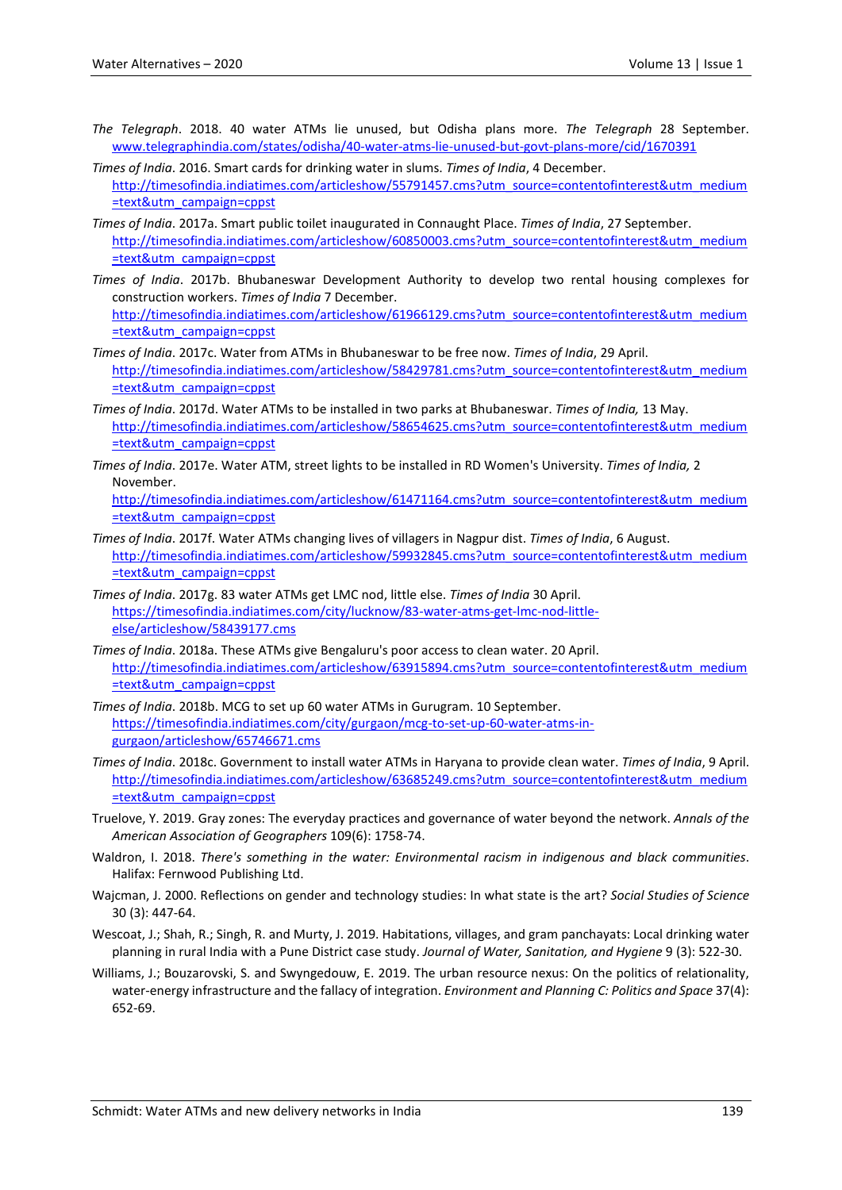[=text&utm\\_campaign=cppst](http://timesofindia.indiatimes.com/articleshow/61966129.cms?utm_source=contentofinterest&utm_medium=text&utm_campaign=cppst)

- *The Telegraph*. 2018. 40 water ATMs lie unused, but Odisha plans more. *The Telegraph* 28 September. [www.telegraphindia.com/states/odisha/40-water-atms-lie-unused-but-govt-plans-more/cid/1670391](http://www.telegraphindia.com/states/odisha/40-water-atms-lie-unused-but-govt-plans-more/cid/1670391)
- *Times of India*. 2016. Smart cards for drinking water in slums. *Times of India*, 4 December. [http://timesofindia.indiatimes.com/articleshow/55791457.cms?utm\\_source=contentofinterest&utm\\_medium](http://timesofindia.indiatimes.com/articleshow/55791457.cms?utm_source=contentofinterest&utm_medium=text&utm_campaign=cppst) [=text&utm\\_campaign=cppst](http://timesofindia.indiatimes.com/articleshow/55791457.cms?utm_source=contentofinterest&utm_medium=text&utm_campaign=cppst)
- *Times of India*. 2017a. Smart public toilet inaugurated in Connaught Place. *Times of India*, 27 September. [http://timesofindia.indiatimes.com/articleshow/60850003.cms?utm\\_source=contentofinterest&utm\\_medium](http://timesofindia.indiatimes.com/articleshow/60850003.cms?utm_source=contentofinterest&utm_medium=text&utm_campaign=cppst) [=text&utm\\_campaign=cppst](http://timesofindia.indiatimes.com/articleshow/60850003.cms?utm_source=contentofinterest&utm_medium=text&utm_campaign=cppst)
- *Times of India*. 2017b. Bhubaneswar Development Authority to develop two rental housing complexes for construction workers. *Times of India* 7 December. [http://timesofindia.indiatimes.com/articleshow/61966129.cms?utm\\_source=contentofinterest&utm\\_medium](http://timesofindia.indiatimes.com/articleshow/61966129.cms?utm_source=contentofinterest&utm_medium=text&utm_campaign=cppst)
- *Times of India*. 2017c. Water from ATMs in Bhubaneswar to be free now. *Times of India*, 29 April. [http://timesofindia.indiatimes.com/articleshow/58429781.cms?utm\\_source=contentofinterest&utm\\_medium](http://timesofindia.indiatimes.com/articleshow/58429781.cms?utm_source=contentofinterest&utm_medium=text&utm_campaign=cppst) [=text&utm\\_campaign=cppst](http://timesofindia.indiatimes.com/articleshow/58429781.cms?utm_source=contentofinterest&utm_medium=text&utm_campaign=cppst)
- *Times of India*. 2017d. Water ATMs to be installed in two parks at Bhubaneswar. *Times of India,* 13 May. [http://timesofindia.indiatimes.com/articleshow/58654625.cms?utm\\_source=contentofinterest&utm\\_medium](http://timesofindia.indiatimes.com/articleshow/58654625.cms?utm_source=contentofinterest&utm_medium=text&utm_campaign=cppst) [=text&utm\\_campaign=cppst](http://timesofindia.indiatimes.com/articleshow/58654625.cms?utm_source=contentofinterest&utm_medium=text&utm_campaign=cppst)
- *Times of India*. 2017e. Water ATM, street lights to be installed in RD Women's University. *Times of India,* 2 November.

[http://timesofindia.indiatimes.com/articleshow/61471164.cms?utm\\_source=contentofinterest&utm\\_medium](http://timesofindia.indiatimes.com/articleshow/61471164.cms?utm_source=contentofinterest&utm_medium=text&utm_campaign=cppst) [=text&utm\\_campaign=cppst](http://timesofindia.indiatimes.com/articleshow/61471164.cms?utm_source=contentofinterest&utm_medium=text&utm_campaign=cppst)

- *Times of India*. 2017f. Water ATMs changing lives of villagers in Nagpur dist. *Times of India*, 6 August. [http://timesofindia.indiatimes.com/articleshow/59932845.cms?utm\\_source=contentofinterest&utm\\_medium](http://timesofindia.indiatimes.com/articleshow/59932845.cms?utm_source=contentofinterest&utm_medium=text&utm_campaign=cppst) [=text&utm\\_campaign=cppst](http://timesofindia.indiatimes.com/articleshow/59932845.cms?utm_source=contentofinterest&utm_medium=text&utm_campaign=cppst)
- *Times of India*. 2017g. 83 water ATMs get LMC nod, little else. *Times of India* 30 April. [https://timesofindia.indiatimes.com/city/lucknow/83-water-atms-get-lmc-nod-little](https://timesofindia.indiatimes.com/city/lucknow/83-water-atms-get-lmc-nod-little-else/articleshow/58439177.cms)[else/articleshow/58439177.cms](https://timesofindia.indiatimes.com/city/lucknow/83-water-atms-get-lmc-nod-little-else/articleshow/58439177.cms)
- *Times of India*. 2018a. These ATMs give Bengaluru's poor access to clean water. 20 April. [http://timesofindia.indiatimes.com/articleshow/63915894.cms?utm\\_source=contentofinterest&utm\\_medium](http://timesofindia.indiatimes.com/articleshow/63915894.cms?utm_source=contentofinterest&utm_medium=text&utm_campaign=cppst) [=text&utm\\_campaign=cppst](http://timesofindia.indiatimes.com/articleshow/63915894.cms?utm_source=contentofinterest&utm_medium=text&utm_campaign=cppst)
- *Times of India*. 2018b. MCG to set up 60 water ATMs in Gurugram. 10 September. [https://timesofindia.indiatimes.com/city/gurgaon/mcg-to-set-up-60-water-atms-in](https://timesofindia.indiatimes.com/city/gurgaon/mcg-to-set-up-60-water-atms-in-gurgaon/articleshow/65746671.cms)[gurgaon/articleshow/65746671.cms](https://timesofindia.indiatimes.com/city/gurgaon/mcg-to-set-up-60-water-atms-in-gurgaon/articleshow/65746671.cms)
- *Times of India*. 2018c. Government to install water ATMs in Haryana to provide clean water. *Times of India*, 9 April. [http://timesofindia.indiatimes.com/articleshow/63685249.cms?utm\\_source=contentofinterest&utm\\_medium](http://timesofindia.indiatimes.com/articleshow/63685249.cms?utm_source=contentofinterest&utm_medium=text&utm_campaign=cppst) [=text&utm\\_campaign=cppst](http://timesofindia.indiatimes.com/articleshow/63685249.cms?utm_source=contentofinterest&utm_medium=text&utm_campaign=cppst)
- Truelove, Y. 2019. Gray zones: The everyday practices and governance of water beyond the network. *Annals of the American Association of Geographers* 109(6): 1758-74.
- Waldron, I. 2018. *There's something in the water: Environmental racism in indigenous and black communities*. Halifax: Fernwood Publishing Ltd.
- Wajcman, J. 2000. Reflections on gender and technology studies: In what state is the art? *Social Studies of Science* 30 (3): 447-64.
- Wescoat, J.; Shah, R.; Singh, R. and Murty, J. 2019. Habitations, villages, and gram panchayats: Local drinking water planning in rural India with a Pune District case study. *Journal of Water, Sanitation, and Hygiene* 9 (3): 522-30.
- Williams, J.; Bouzarovski, S. and Swyngedouw, E. 2019. The urban resource nexus: On the politics of relationality, water-energy infrastructure and the fallacy of integration. *Environment and Planning C: Politics and Space* 37(4): 652-69.